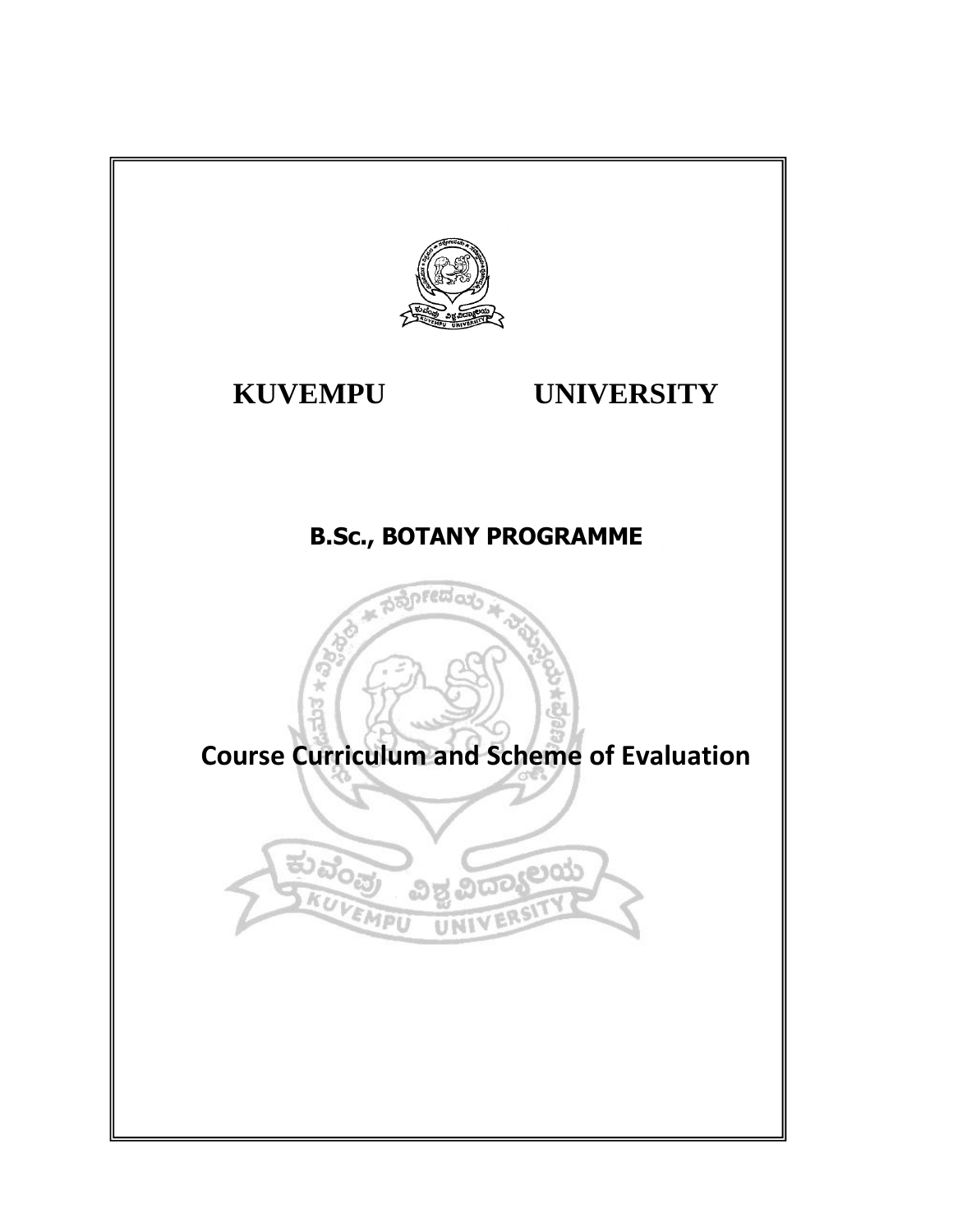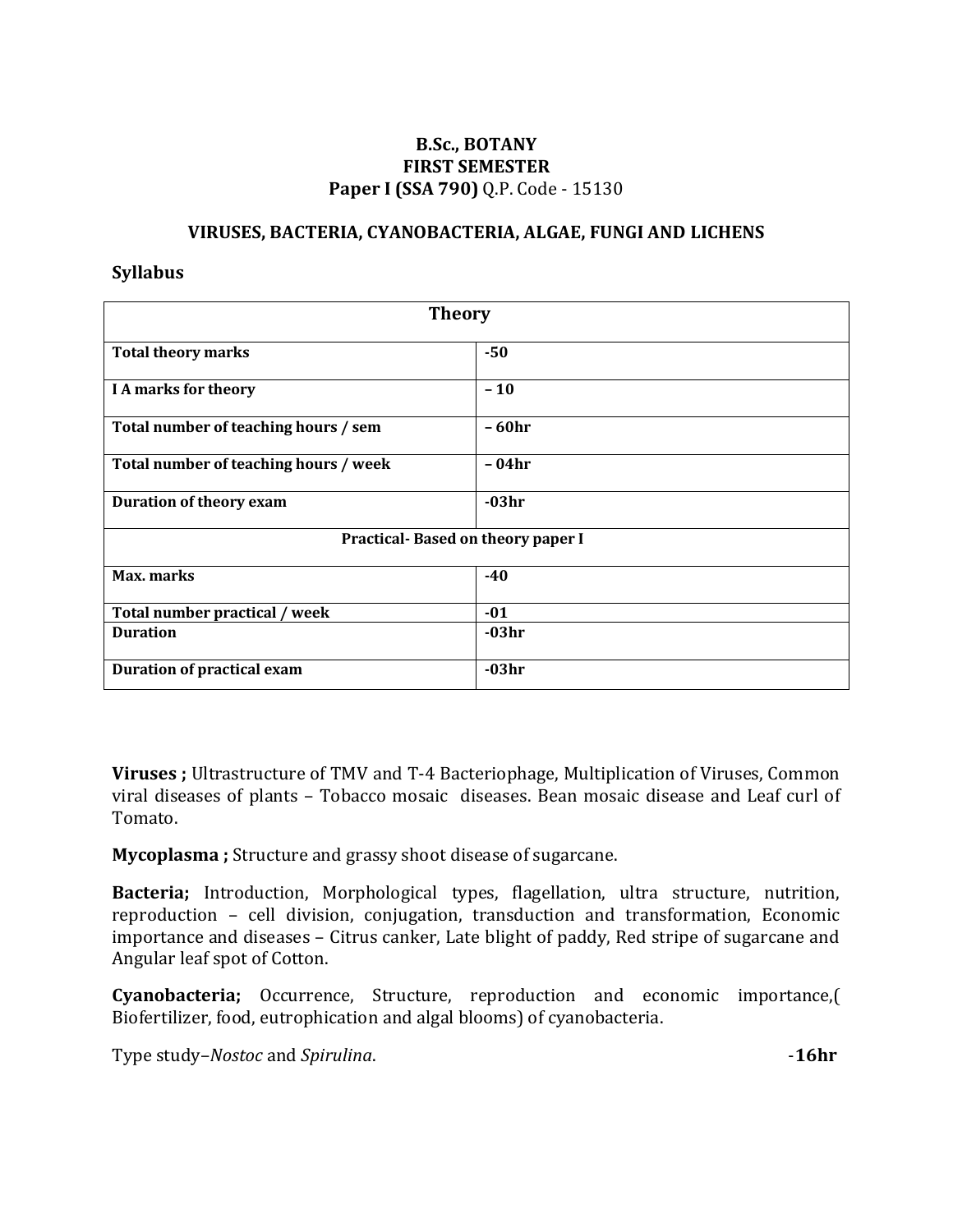## **B.Sc., BOTANY FIRST SEMESTER Paper I (SSA 790)** Q.P. Code - 15130

#### **VIRUSES, BACTERIA, CYANOBACTERIA, ALGAE, FUNGI AND LICHENS**

#### **Syllabus**

| <b>Theory</b>                         |         |  |
|---------------------------------------|---------|--|
| <b>Total theory marks</b>             | $-50$   |  |
| <b>I A marks for theory</b>           | $-10$   |  |
| Total number of teaching hours / sem  | - 60hr  |  |
| Total number of teaching hours / week | - 04hr  |  |
| Duration of theory exam               | $-03hr$ |  |
| Practical-Based on theory paper I     |         |  |
| Max. marks                            | $-40$   |  |
| Total number practical / week         | $-01$   |  |
| <b>Duration</b>                       | $-03hr$ |  |
| <b>Duration of practical exam</b>     | $-03hr$ |  |

**Viruses ;** Ultrastructure of TMV and T-4 Bacteriophage, Multiplication of Viruses, Common viral diseases of plants – Tobacco mosaic diseases. Bean mosaic disease and Leaf curl of Tomato.

**Mycoplasma ;** Structure and grassy shoot disease of sugarcane.

**Bacteria;** Introduction, Morphological types, flagellation, ultra structure, nutrition, reproduction – cell division, conjugation, transduction and transformation, Economic importance and diseases – Citrus canker, Late blight of paddy, Red stripe of sugarcane and Angular leaf spot of Cotton.

**Cyanobacteria;** Occurrence, Structure, reproduction and economic importance,( Biofertilizer, food, eutrophication and algal blooms) of cyanobacteria.

Type study–*Nostoc* and *Spirulina*. -**16hr**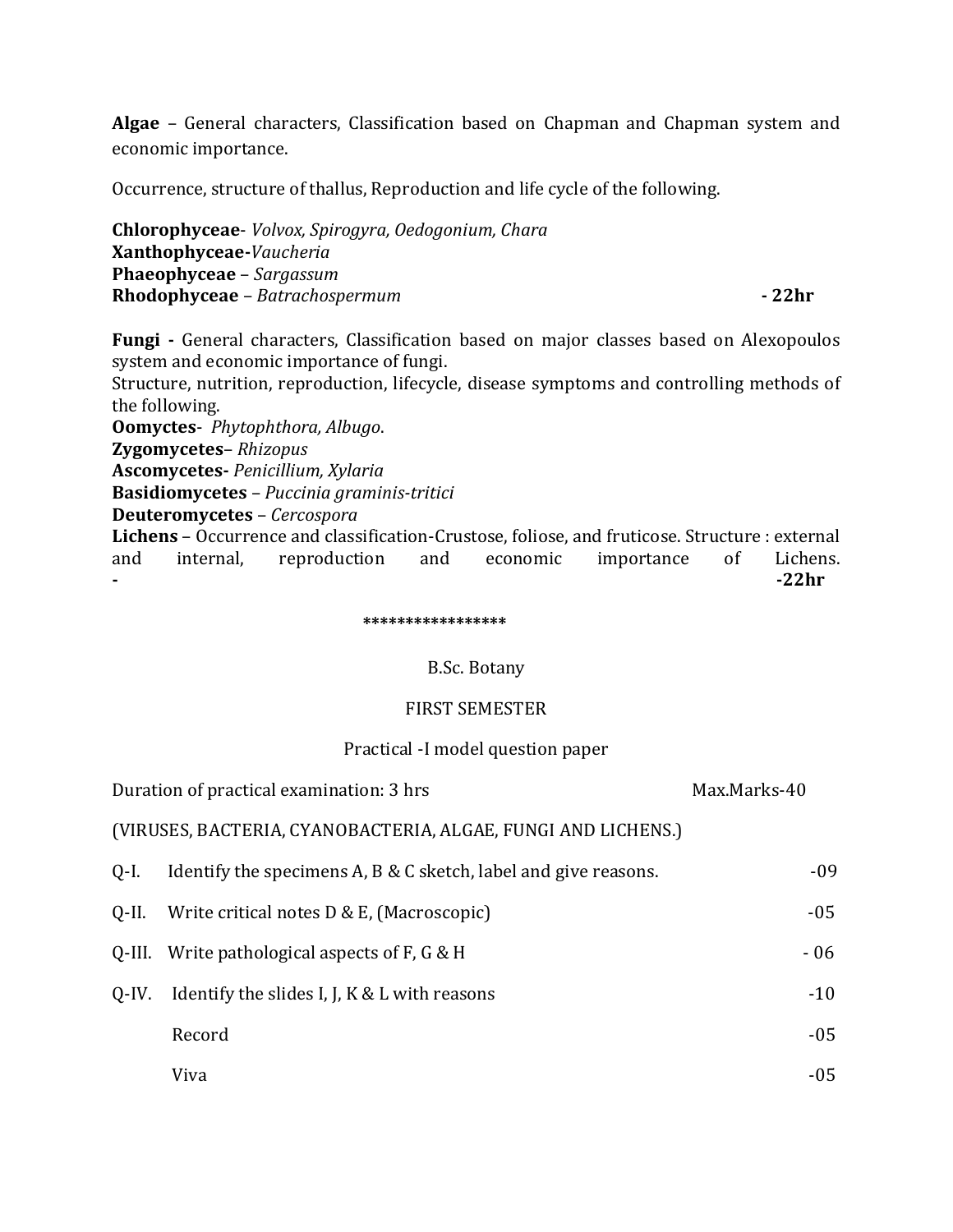**Algae** – General characters, Classification based on Chapman and Chapman system and economic importance.

Occurrence, structure of thallus, Reproduction and life cycle of the following.

**Chlorophyceae**- *Volvox, Spirogyra, Oedogonium, Chara* **Xanthophyceae-***Vaucheria* **Phaeophyceae** – *Sargassum* **Rhodophyceae** – *Batrachospermum* **- 22hr**

**Fungi -** General characters, Classification based on major classes based on Alexopoulos system and economic importance of fungi.

Structure, nutrition, reproduction, lifecycle, disease symptoms and controlling methods of the following.

**Oomyctes**- *Phytophthora, Albugo*.

**Zygomycetes**– *Rhizopus*

**Ascomycetes-** *Penicillium, Xylaria*

**Basidiomycetes** – *Puccinia graminis-tritici*

**Deuteromycetes** – *Cercospora*

**Lichens** – Occurrence and classification-Crustose, foliose, and fruticose. Structure : external and internal, reproduction and economic importance of Lichens. **- -22hr**

 **\*\*\*\*\*\*\*\*\*\*\*\*\*\*\*\*\***

#### B.Sc. Botany

#### FIRST SEMESTER

#### Practical -I model question paper

|       | Duration of practical examination: 3 hrs                        | Max.Marks-40 |
|-------|-----------------------------------------------------------------|--------------|
|       | (VIRUSES, BACTERIA, CYANOBACTERIA, ALGAE, FUNGI AND LICHENS.)   |              |
| Q-I.  | Identify the specimens A, B & C sketch, label and give reasons. | $-09$        |
| 0-II. | Write critical notes D & E, (Macroscopic)                       | $-05$        |
|       | Q-III. Write pathological aspects of $F$ , $G \& H$             | $-06$        |
| O-IV. | Identify the slides I, J, K & L with reasons                    | $-10$        |
|       | Record                                                          | $-05$        |
|       | Viva                                                            | $-05$        |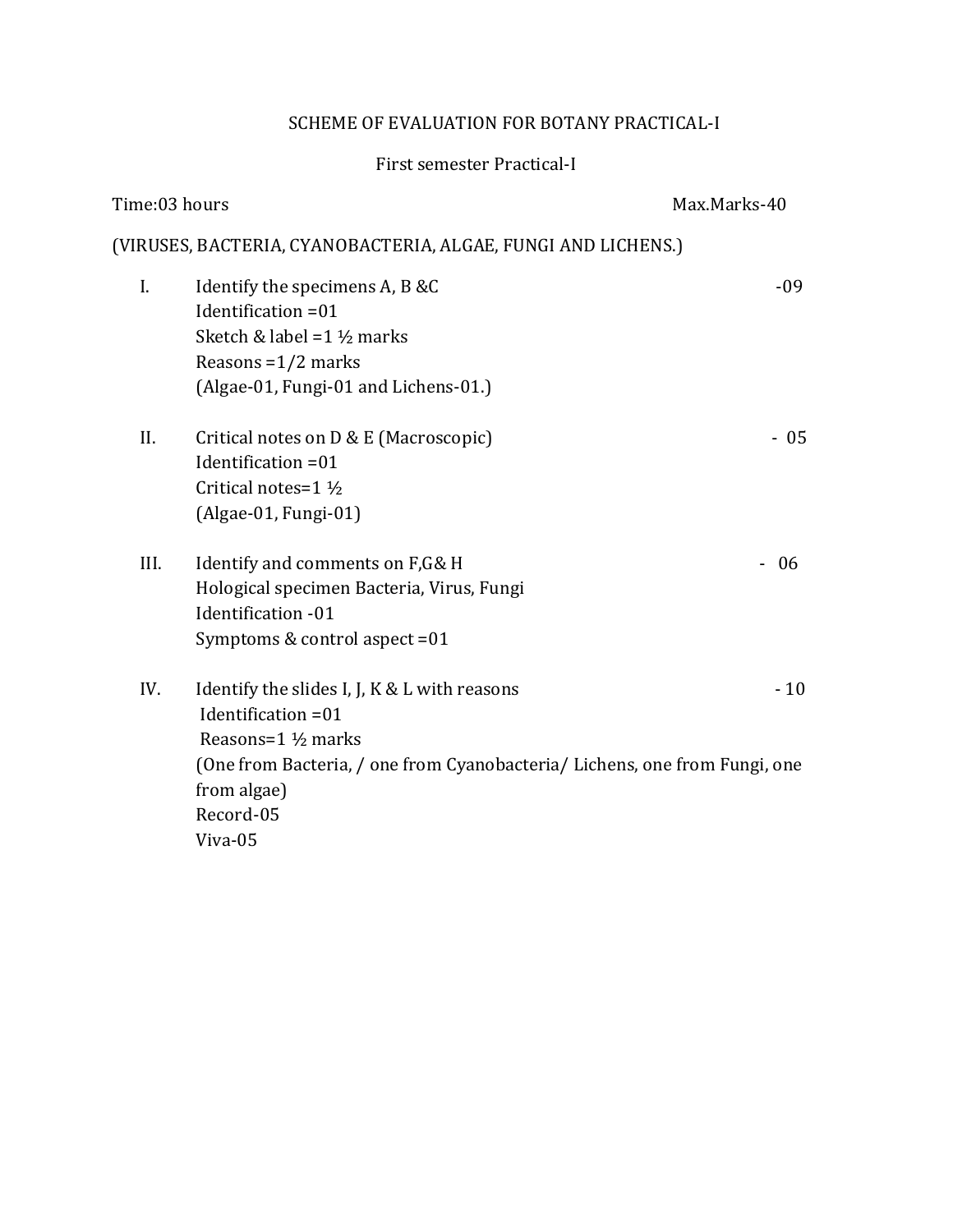## SCHEME OF EVALUATION FOR BOTANY PRACTICAL-I

## First semester Practical-I

| (VIRUSES, BACTERIA, CYANOBACTERIA, ALGAE, FUNGI AND LICHENS.)                       |
|-------------------------------------------------------------------------------------|
| $-09$                                                                               |
| - 05                                                                                |
| $-06$                                                                               |
| $-10$<br>(One from Bacteria, / one from Cyanobacteria/ Lichens, one from Fungi, one |
|                                                                                     |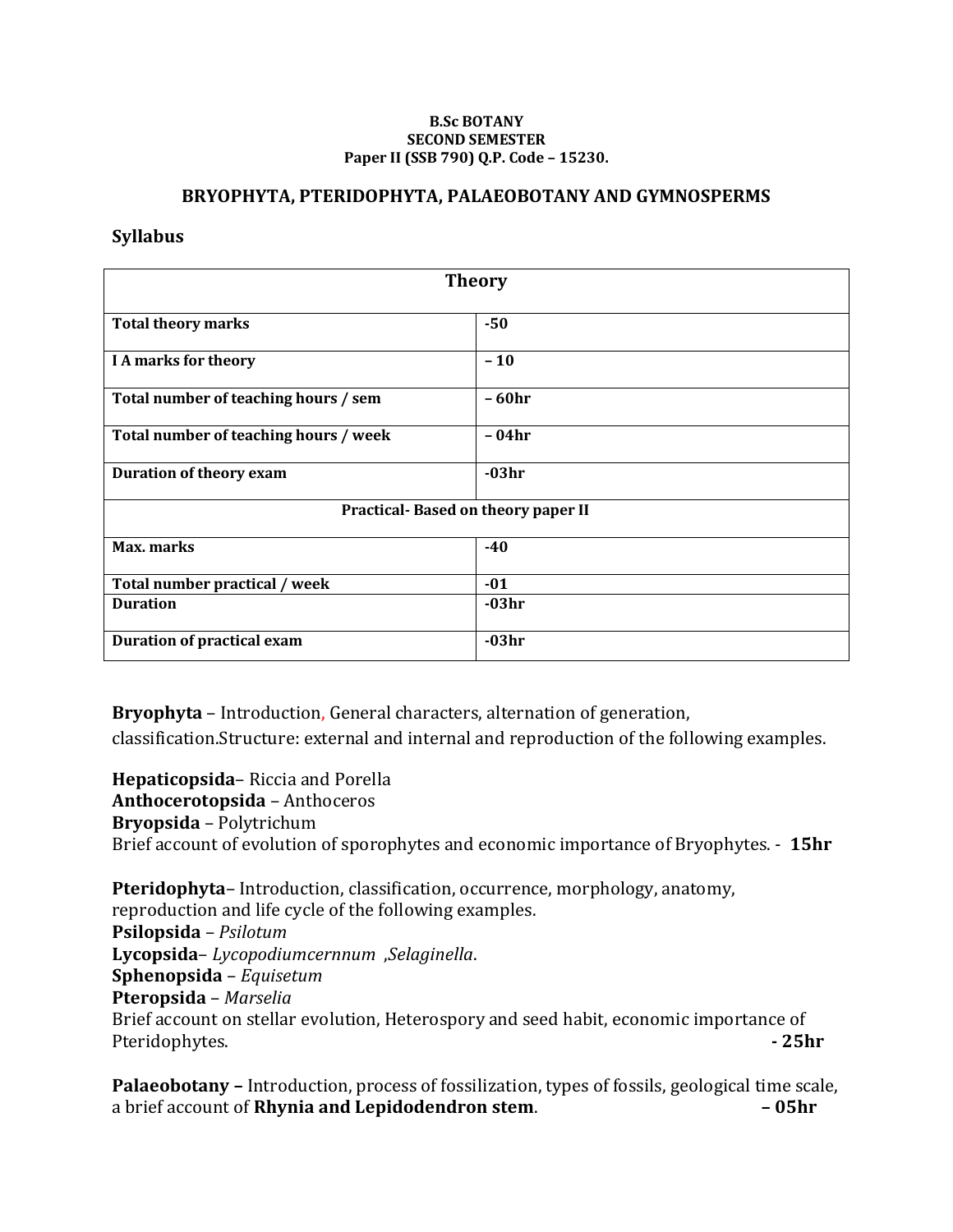#### **B.Sc BOTANY SECOND SEMESTER Paper II (SSB 790) Q.P. Code – 15230.**

#### **BRYOPHYTA, PTERIDOPHYTA, PALAEOBOTANY AND GYMNOSPERMS**

#### **Syllabus**

| <b>Theory</b>                         |         |  |
|---------------------------------------|---------|--|
| <b>Total theory marks</b>             | $-50$   |  |
| <b>I A marks for theory</b>           | $-10$   |  |
| Total number of teaching hours / sem  | $-60hr$ |  |
| Total number of teaching hours / week | - 04hr  |  |
| Duration of theory exam               | $-03hr$ |  |
| Practical-Based on theory paper II    |         |  |
| Max. marks                            | $-40$   |  |
| Total number practical / week         | $-01$   |  |
| <b>Duration</b>                       | $-03hr$ |  |
| <b>Duration of practical exam</b>     | $-03hr$ |  |

**Bryophyta** – Introduction, General characters, alternation of generation, classification.Structure: external and internal and reproduction of the following examples.

**Hepaticopsida**– Riccia and Porella **Anthocerotopsida** – Anthoceros **Bryopsida** – Polytrichum Brief account of evolution of sporophytes and economic importance of Bryophytes. - **15hr**

**Pteridophyta**– Introduction, classification, occurrence, morphology, anatomy, reproduction and life cycle of the following examples. **Psilopsida** – *Psilotum* **Lycopsida**– *Lycopodiumcernnum* ,*Selaginella*. **Sphenopsida** – *Equisetum* **Pteropsida** – *Marselia* Brief account on stellar evolution, Heterospory and seed habit, economic importance of Pteridophytes. **- 25hr**

**Palaeobotany –** Introduction, process of fossilization, types of fossils, geological time scale, a brief account of **Rhynia and Lepidodendron stem**. **– 05hr**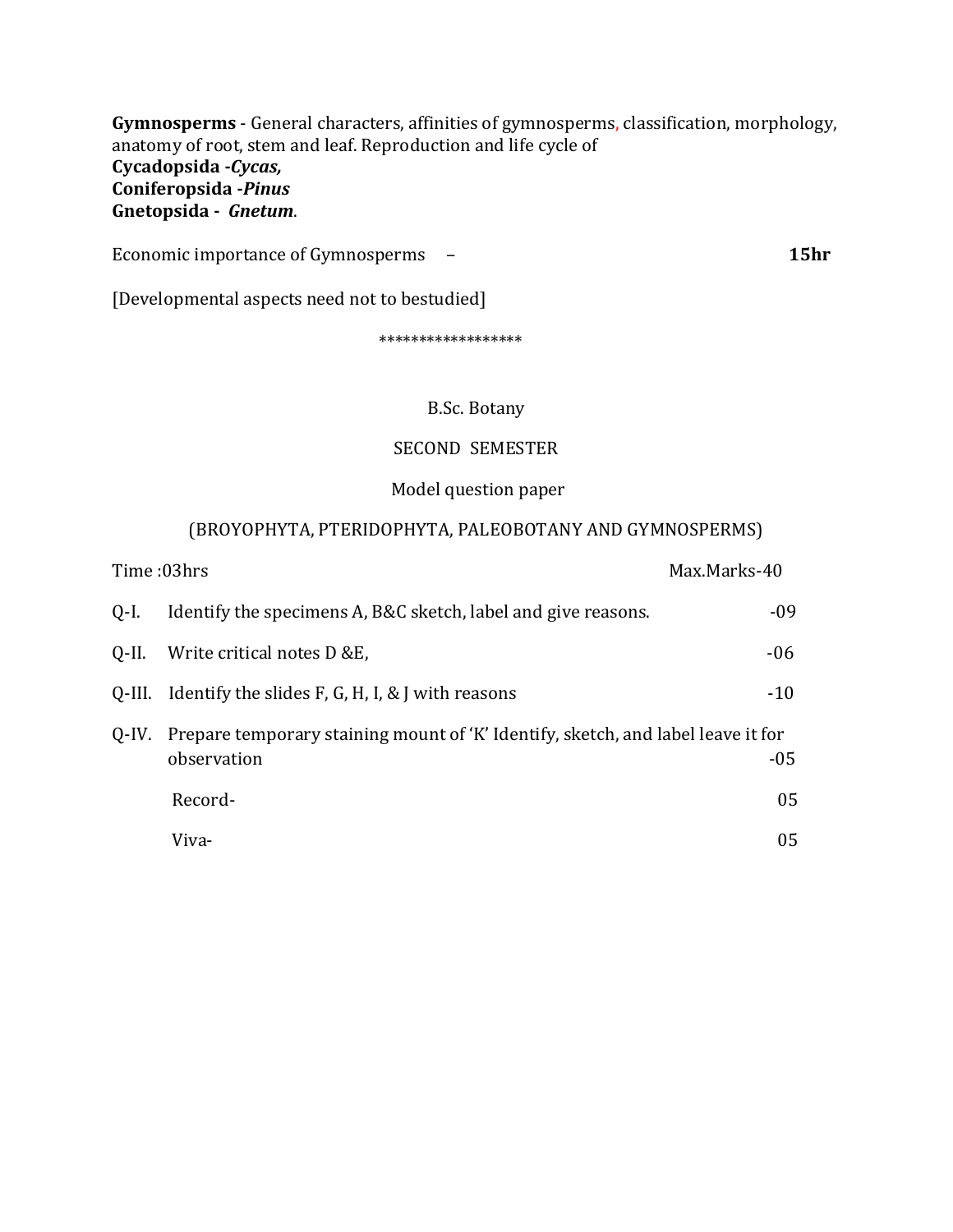**Gymnosperms** - General characters, affinities of gymnosperms, classification, morphology, anatomy of root, stem and leaf. Reproduction and life cycle of **Cycadopsida -***Cycas,*  **Coniferopsida -***Pinus* **Gnetopsida -** *Gnetum*.

Economic importance of Gymnosperms – **15hr**

[Developmental aspects need not to bestudied]

\*\*\*\*\*\*\*\*\*\*\*\*\*\*\*\*\*\*

#### B.Sc. Botany

#### SECOND SEMESTER

## Model question paper

## (BROYOPHYTA, PTERIDOPHYTA, PALEOBOTANY AND GYMNOSPERMS)

|       | Time :03hrs                                                                                           | Max.Marks-40 |
|-------|-------------------------------------------------------------------------------------------------------|--------------|
| 0-I.  | Identify the specimens A, B&C sketch, label and give reasons.                                         | $-09$        |
| Q-II. | Write critical notes D &E,                                                                            | $-06$        |
|       | Q-III. Identify the slides $F$ , G, H, I, & J with reasons                                            | $-10$        |
|       | Q-IV. Prepare temporary staining mount of 'K' Identify, sketch, and label leave it for<br>observation |              |
|       | Record-                                                                                               | 05           |
|       | Viva-                                                                                                 | 05           |
|       |                                                                                                       |              |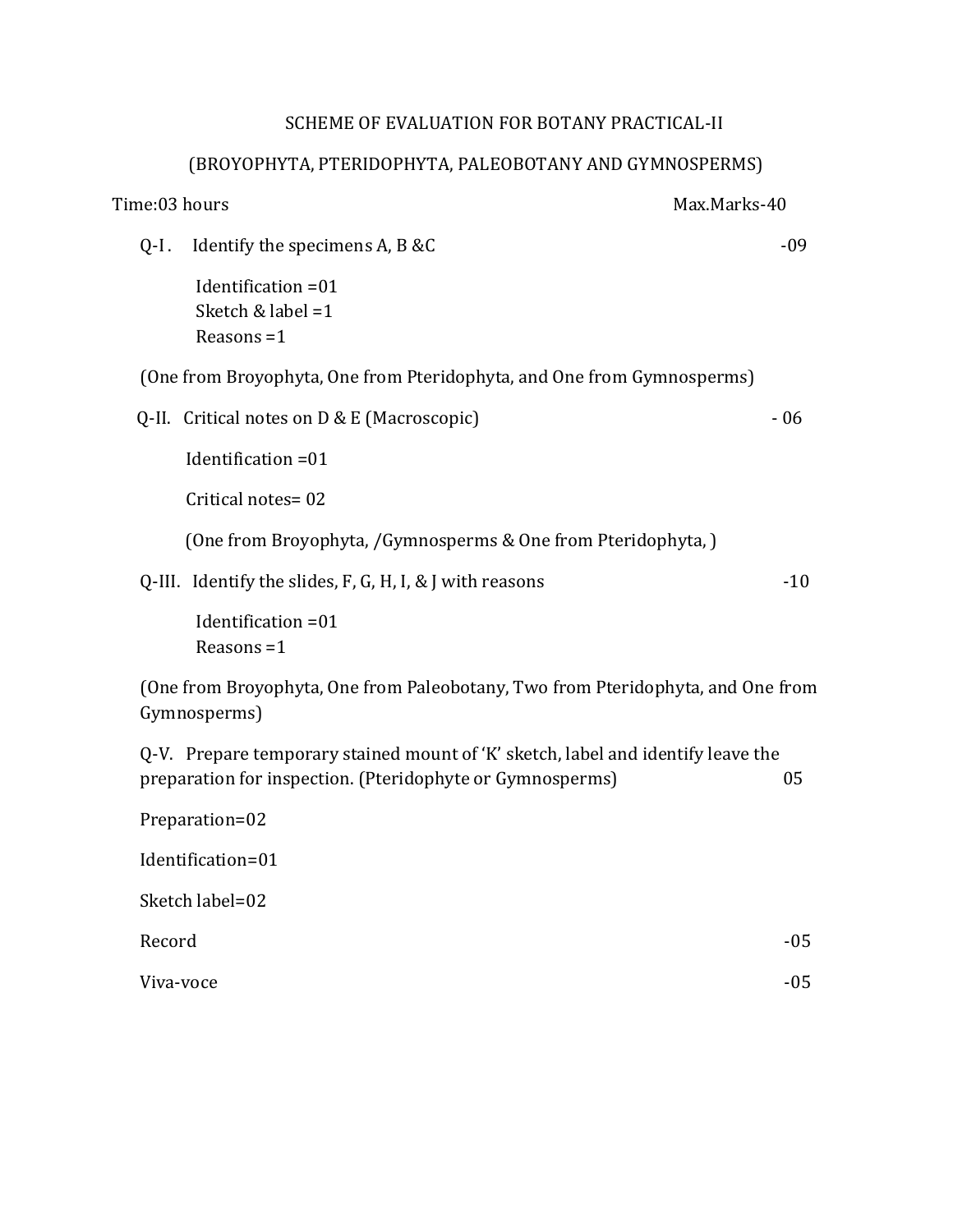## SCHEME OF EVALUATION FOR BOTANY PRACTICAL-II

## (BROYOPHYTA, PTERIDOPHYTA, PALEOBOTANY AND GYMNOSPERMS)

| Time:03 hours<br>Max.Marks-40                                                                                                                 |       |
|-----------------------------------------------------------------------------------------------------------------------------------------------|-------|
| Identify the specimens A, B &C<br>$Q-I$ .                                                                                                     | $-09$ |
| Identification = 01<br>Sketch & label $=1$<br>Reasons $=1$                                                                                    |       |
| (One from Broyophyta, One from Pteridophyta, and One from Gymnosperms)                                                                        |       |
| Q-II. Critical notes on $D &E$ (Macroscopic)                                                                                                  | $-06$ |
| Identification = 01                                                                                                                           |       |
| Critical notes=02                                                                                                                             |       |
| (One from Broyophyta, /Gymnosperms & One from Pteridophyta,)                                                                                  |       |
| Q-III. Identify the slides, $F$ , $G$ , $H$ , I, $\&$ J with reasons                                                                          | $-10$ |
| Identification = 01<br>Reasons $=1$                                                                                                           |       |
| (One from Broyophyta, One from Paleobotany, Two from Pteridophyta, and One from<br>Gymnosperms)                                               |       |
| Q-V. Prepare temporary stained mount of 'K' sketch, label and identify leave the<br>preparation for inspection. (Pteridophyte or Gymnosperms) | 05    |
| Preparation=02                                                                                                                                |       |
| Identification=01                                                                                                                             |       |
| Sketch label=02                                                                                                                               |       |
| Record                                                                                                                                        | $-05$ |
| Viva-voce                                                                                                                                     | $-05$ |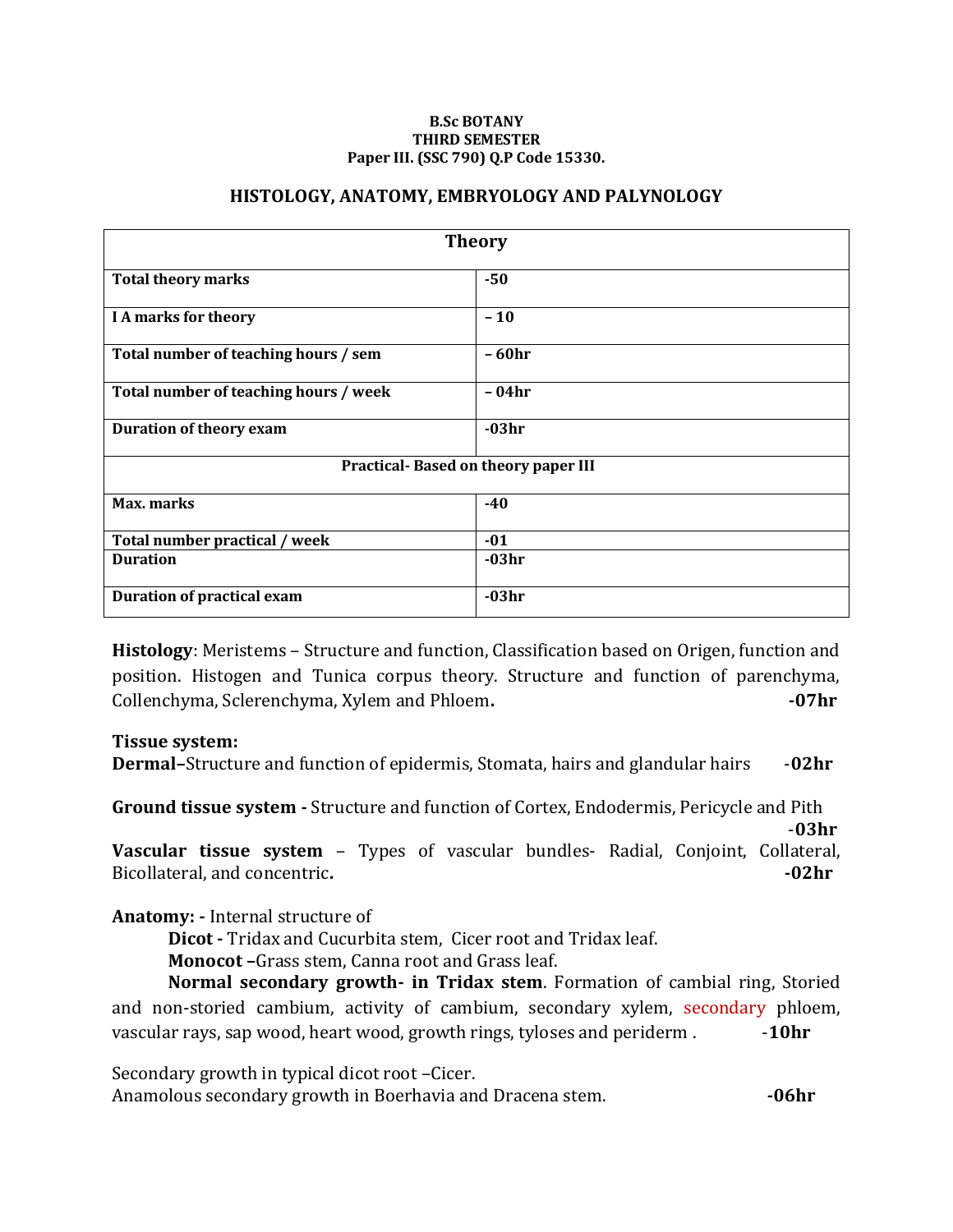#### **B.Sc BOTANY THIRD SEMESTER Paper III. (SSC 790) Q.P Code 15330.**

#### **HISTOLOGY, ANATOMY, EMBRYOLOGY AND PALYNOLOGY**

| <b>Theory</b>                         |          |  |
|---------------------------------------|----------|--|
| <b>Total theory marks</b>             | $-50$    |  |
| I A marks for theory                  | $-10$    |  |
| Total number of teaching hours / sem  | - 60hr   |  |
| Total number of teaching hours / week | - 04hr   |  |
| Duration of theory exam               | $-03hr$  |  |
| Practical-Based on theory paper III   |          |  |
| Max. marks                            | $-40$    |  |
| Total number practical / week         | $-01$    |  |
| <b>Duration</b>                       | $-0.3hr$ |  |
| Duration of practical exam            | $-03hr$  |  |

**Histology**: Meristems – Structure and function, Classification based on Origen, function and position. Histogen and Tunica corpus theory. Structure and function of parenchyma, Collenchyma, Sclerenchyma, Xylem and Phloem**. -07hr**

#### **Tissue system:**

**Dermal–**Structure and function of epidermis, Stomata, hairs and glandular hairs -**02hr**

**Ground tissue system -** Structure and function of Cortex, Endodermis, Pericycle and Pith

-**03hr Vascular tissue system** – Types of vascular bundles- Radial, Conjoint, Collateral, Bicollateral, and concentric. **-02hr** 

**Anatomy: -** Internal structure of

**Dicot -** Tridax and Cucurbita stem, Cicer root and Tridax leaf.

**Monocot –**Grass stem, Canna root and Grass leaf.

**Normal secondary growth- in Tridax stem**. Formation of cambial ring, Storied and non-storied cambium, activity of cambium, secondary xylem, secondary phloem, vascular rays, sap wood, heart wood, growth rings, tyloses and periderm .  $\qquad \qquad$  -10hr

Secondary growth in typical dicot root –Cicer.

Anamolous secondary growth in Boerhavia and Dracena stem. *-06hr*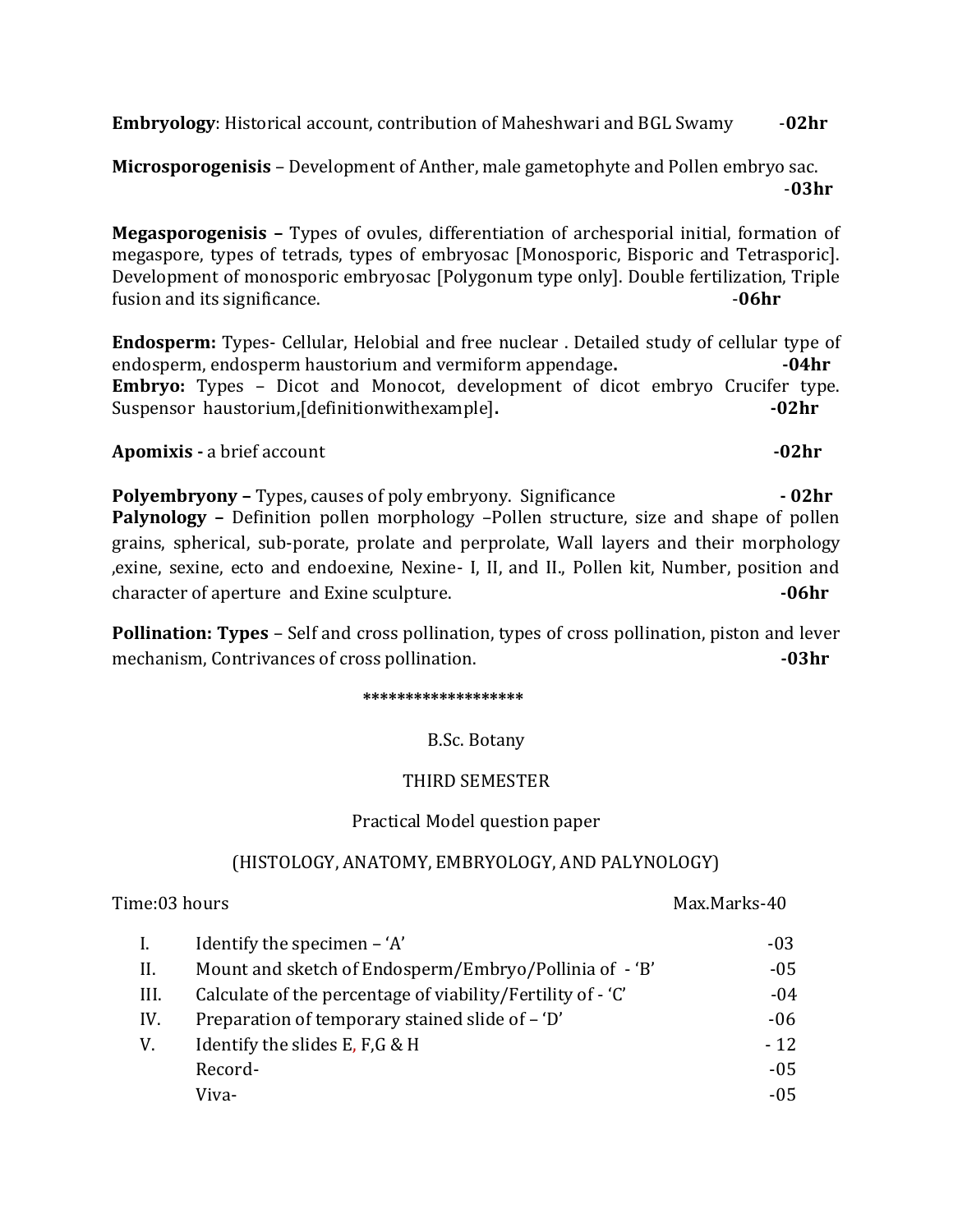**Embryology**: Historical account, contribution of Maheshwari and BGL Swamy -**02hr**

**Microsporogenisis** – Development of Anther, male gametophyte and Pollen embryo sac. -**03hr**

**Megasporogenisis –** Types of ovules, differentiation of archesporial initial, formation of megaspore, types of tetrads, types of embryosac [Monosporic, Bisporic and Tetrasporic]. Development of monosporic embryosac [Polygonum type only]. Double fertilization, Triple fusion and its significance. **-06hr** 

**Endosperm:** Types- Cellular, Helobial and free nuclear . Detailed study of cellular type of endosperm, endosperm haustorium and vermiform appendage. **-04hr Embryo:** Types – Dicot and Monocot, development of dicot embryo Crucifer type. Suspensor haustorium, [definitionwithexample]. **-02hr** 

**Apomixis -** a brief account **-02hr**

**Polyembryony –** Types, causes of poly embryony. Significance **- 02hr Palynology –** Definition pollen morphology –Pollen structure, size and shape of pollen grains, spherical, sub-porate, prolate and perprolate, Wall layers and their morphology ,exine, sexine, ecto and endoexine, Nexine- I, II, and II., Pollen kit, Number, position and character of aperture and Exine sculpture. **-06hr**

**Pollination: Types** – Self and cross pollination, types of cross pollination, piston and lever mechanism, Contrivances of cross pollination. **The absolution of the COS** of  $\sim$  **-03hr** 

 **\*\*\*\*\*\*\*\*\*\*\*\*\*\*\*\*\*\*\***

B.Sc. Botany

#### THIRD SEMESTER

#### Practical Model question paper

## (HISTOLOGY, ANATOMY, EMBRYOLOGY, AND PALYNOLOGY)

#### Time:03 hours Max.Marks-40

|      | Identify the specimen $-$ 'A'                               | $-03$  |
|------|-------------------------------------------------------------|--------|
| Н.   | Mount and sketch of Endosperm/Embryo/Pollinia of - 'B'      | $-05$  |
| III. | Calculate of the percentage of viability/Fertility of - 'C' | -04    |
| IV.  | Preparation of temporary stained slide of – 'D'             | $-06$  |
| V.   | Identify the slides E, F, G & H                             | $-12$  |
|      | Record-                                                     | $-0.5$ |
|      | Viva-                                                       | -05    |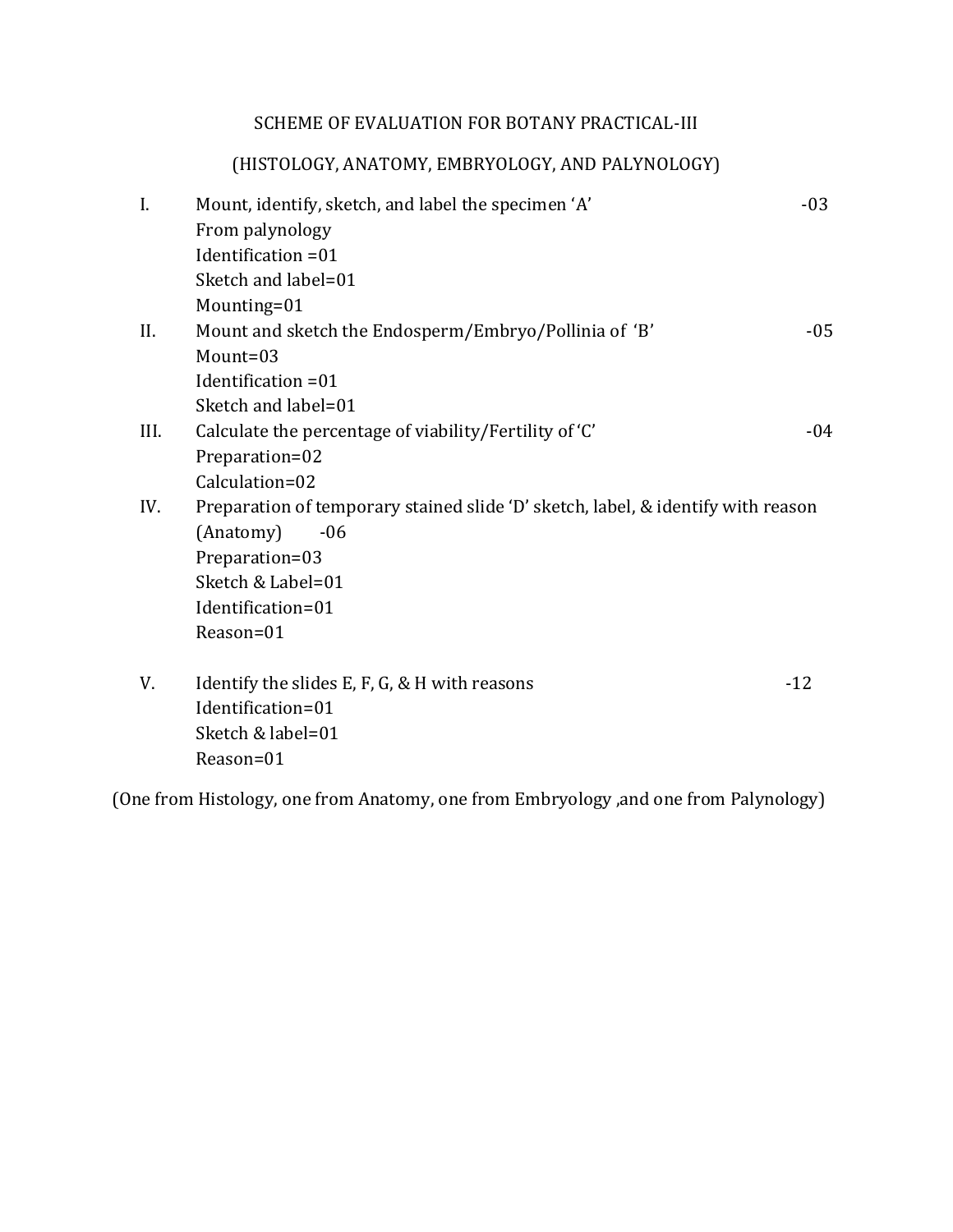## SCHEME OF EVALUATION FOR BOTANY PRACTICAL-III

## (HISTOLOGY, ANATOMY, EMBRYOLOGY, AND PALYNOLOGY)

| I.   | Mount, identify, sketch, and label the specimen 'A'                              | $-03$ |
|------|----------------------------------------------------------------------------------|-------|
|      | From palynology                                                                  |       |
|      | Identification = 01                                                              |       |
|      | Sketch and label=01                                                              |       |
|      | Mounting=01                                                                      |       |
| II.  | Mount and sketch the Endosperm/Embryo/Pollinia of 'B'                            | $-05$ |
|      | $M$ ount=03                                                                      |       |
|      | Identification = 01                                                              |       |
|      | Sketch and label=01                                                              |       |
| III. | Calculate the percentage of viability/Fertility of 'C'                           | $-04$ |
|      | Preparation=02                                                                   |       |
|      | Calculation=02                                                                   |       |
| IV.  | Preparation of temporary stained slide 'D' sketch, label, & identify with reason |       |
|      | (Anatomy)<br>$-06$                                                               |       |
|      | Preparation=03                                                                   |       |
|      | Sketch & Label=01                                                                |       |
|      | Identification=01                                                                |       |
|      | Reason=01                                                                        |       |
| V.   | Identify the slides E, F, G, & H with reasons                                    | $-12$ |
|      | Identification=01                                                                |       |
|      | Sketch & label=01                                                                |       |
|      | Reason=01                                                                        |       |

(One from Histology, one from Anatomy, one from Embryology ,and one from Palynology)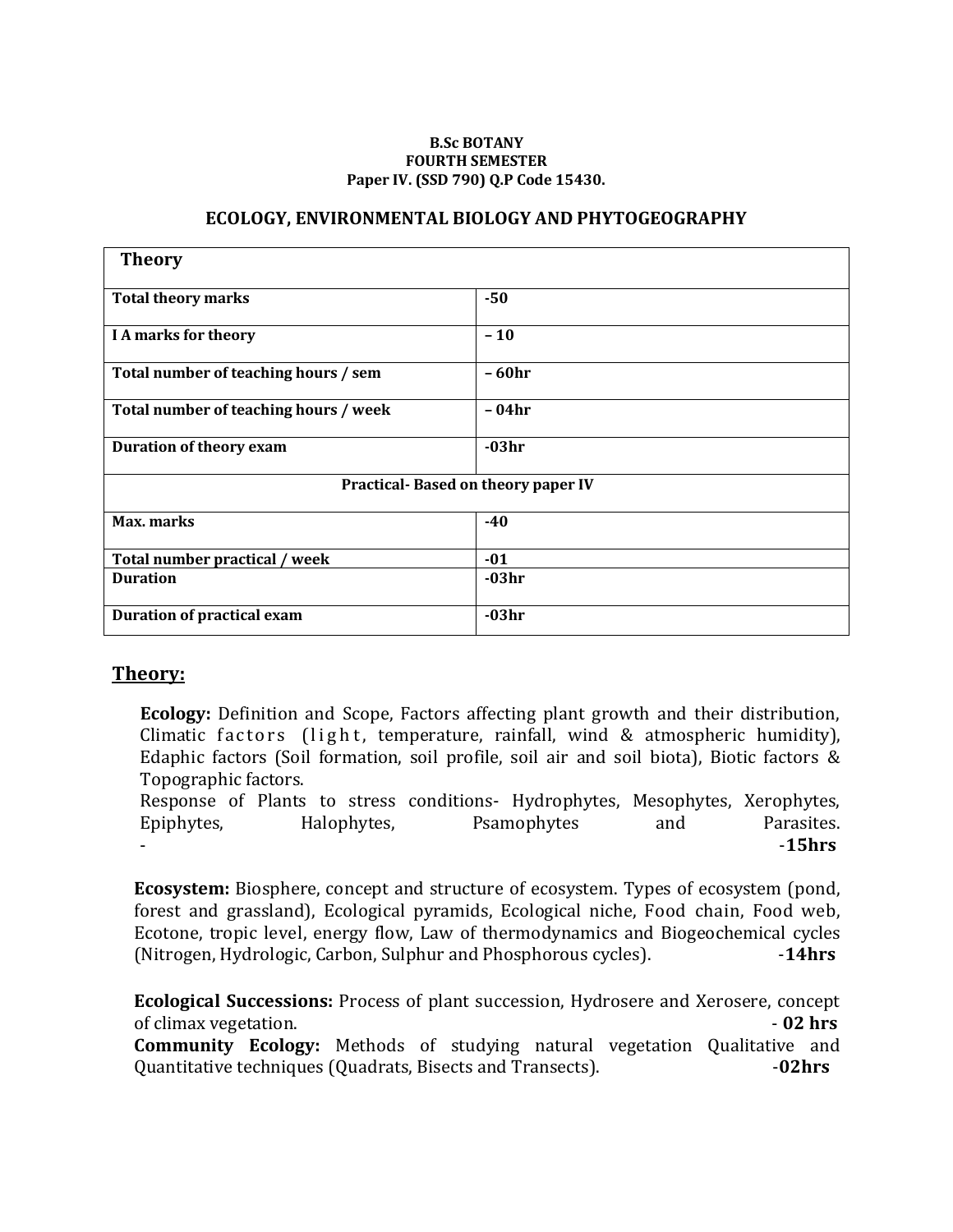#### **B.Sc BOTANY FOURTH SEMESTER Paper IV. (SSD 790) Q.P Code 15430.**

#### **ECOLOGY, ENVIRONMENTAL BIOLOGY AND PHYTOGEOGRAPHY**

| <b>Theory</b>                         |          |  |
|---------------------------------------|----------|--|
| <b>Total theory marks</b>             | $-50$    |  |
| I A marks for theory                  | $-10$    |  |
| Total number of teaching hours / sem  | - 60hr   |  |
| Total number of teaching hours / week | - 04hr   |  |
| <b>Duration of theory exam</b>        | $-03hr$  |  |
| Practical-Based on theory paper IV    |          |  |
| Max. marks                            | $-40$    |  |
| Total number practical / week         | $-01$    |  |
| <b>Duration</b>                       | $-0.3hr$ |  |
| <b>Duration of practical exam</b>     | $-03hr$  |  |

## **Theory:**

**Ecology:** Definition and Scope, Factors affecting plant growth and their distribution, Climatic factors (light, temperature, rainfall, wind & atmospheric humidity), Edaphic factors (Soil formation, soil profile, soil air and soil biota), Biotic factors & Topographic factors.

Response of Plants to stress conditions- Hydrophytes, Mesophytes, Xerophytes, Epiphytes, Halophytes, Psamophytes and Parasites. - -**15hrs**

**Ecosystem:** Biosphere, concept and structure of ecosystem. Types of ecosystem (pond, forest and grassland), Ecological pyramids, Ecological niche, Food chain, Food web, Ecotone, tropic level, energy flow, Law of thermodynamics and Biogeochemical cycles (Nitrogen, Hydrologic, Carbon, Sulphur and Phosphorous cycles). -**14hrs**

**Ecological Successions:** Process of plant succession, Hydrosere and Xerosere, concept of climax vegetation. - **02 hrs Community Ecology:** Methods of studying natural vegetation Qualitative and Quantitative techniques (Quadrats, Bisects and Transects). -**02hrs**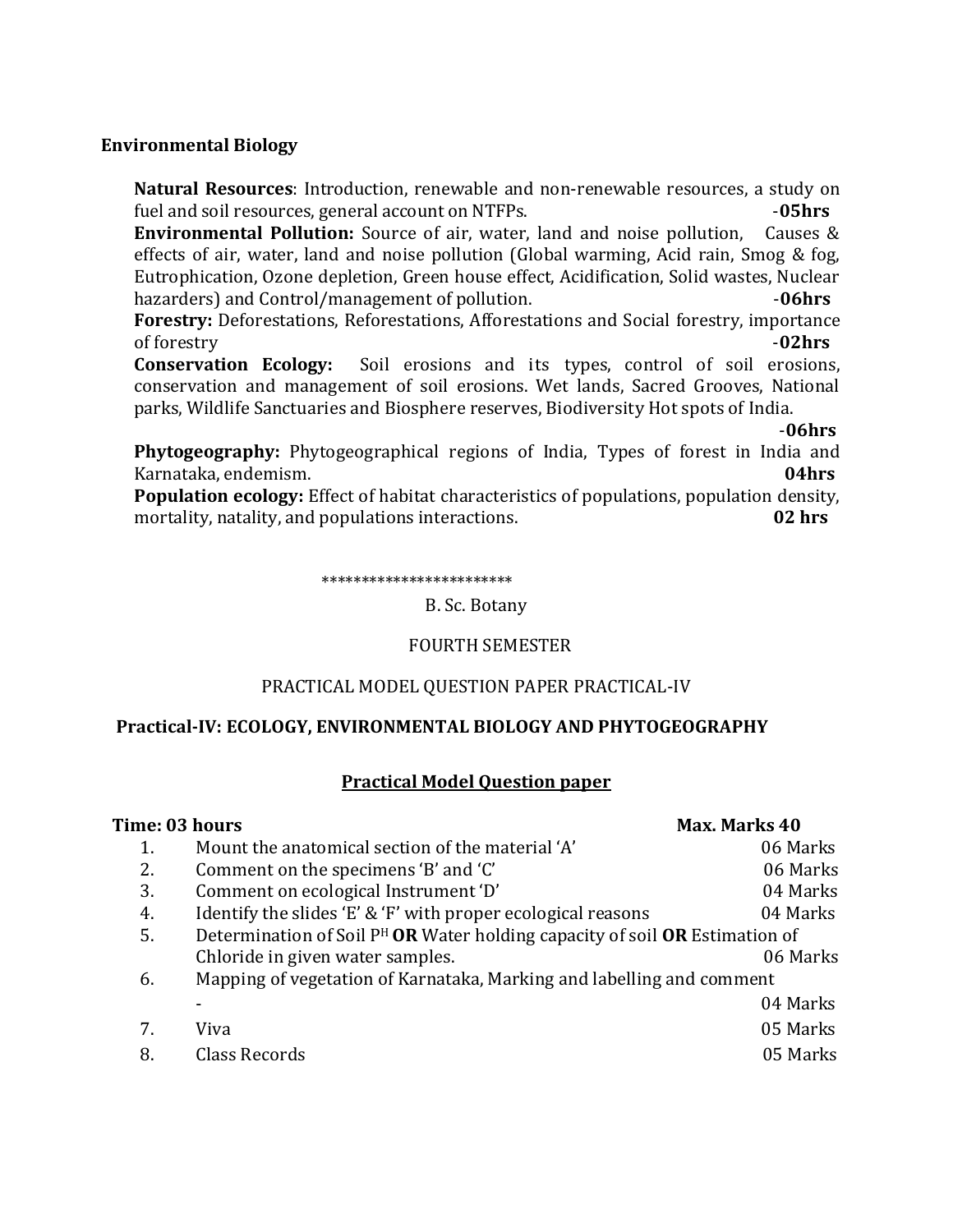## **Environmental Biology**

**Natural Resources**: Introduction, renewable and non-renewable resources, a study on fuel and soil resources, general account on NTFPs. -**05hrs**

**Environmental Pollution:** Source of air, water, land and noise pollution, Causes & effects of air, water, land and noise pollution (Global warming, Acid rain, Smog & fog, Eutrophication, Ozone depletion, Green house effect, Acidification, Solid wastes, Nuclear hazarders) and Control/management of pollution. *Allen and Control/management* of pollution.

**Forestry:** Deforestations, Reforestations, Afforestations and Social forestry, importance of forestry -**02hrs**

**Conservation Ecology:** Soil erosions and its types, control of soil erosions, conservation and management of soil erosions. Wet lands, Sacred Grooves, National parks, Wildlife Sanctuaries and Biosphere reserves, Biodiversity Hot spots of India.

-**06hrs**

**Phytogeography:** Phytogeographical regions of India, Types of forest in India and Karnataka, endemism. **04hrs**

**Population ecology:** Effect of habitat characteristics of populations, population density, mortality, natality, and populations interactions. **02 hrs**

\*\*\*\*\*\*\*\*\*\*\*\*\*\*\*\*\*\*\*\*\*\*\*\*

B. Sc. Botany

## FOURTH SEMESTER

## PRACTICAL MODEL QUESTION PAPER PRACTICAL-IV

## **Practical-IV: ECOLOGY, ENVIRONMENTAL BIOLOGY AND PHYTOGEOGRAPHY**

## **Practical Model Question paper**

| Time: 03 hours |                                                                                | Max. Marks 40 |
|----------------|--------------------------------------------------------------------------------|---------------|
| 1.             | Mount the anatomical section of the material 'A'                               | 06 Marks      |
| 2.             | Comment on the specimens 'B' and 'C'                                           | 06 Marks      |
| 3.             | Comment on ecological Instrument 'D'                                           | 04 Marks      |
| 4.             | Identify the slides 'E' & 'F' with proper ecological reasons                   | 04 Marks      |
| 5.             | Determination of Soil $P^H$ OR Water holding capacity of soil OR Estimation of |               |
|                | Chloride in given water samples.                                               | 06 Marks      |
| 6.             | Mapping of vegetation of Karnataka, Marking and labelling and comment          |               |
|                |                                                                                | 04 Marks      |
| 7.             | Viva                                                                           | 05 Marks      |
| 8.             | Class Records                                                                  | 05 Marks      |
|                |                                                                                |               |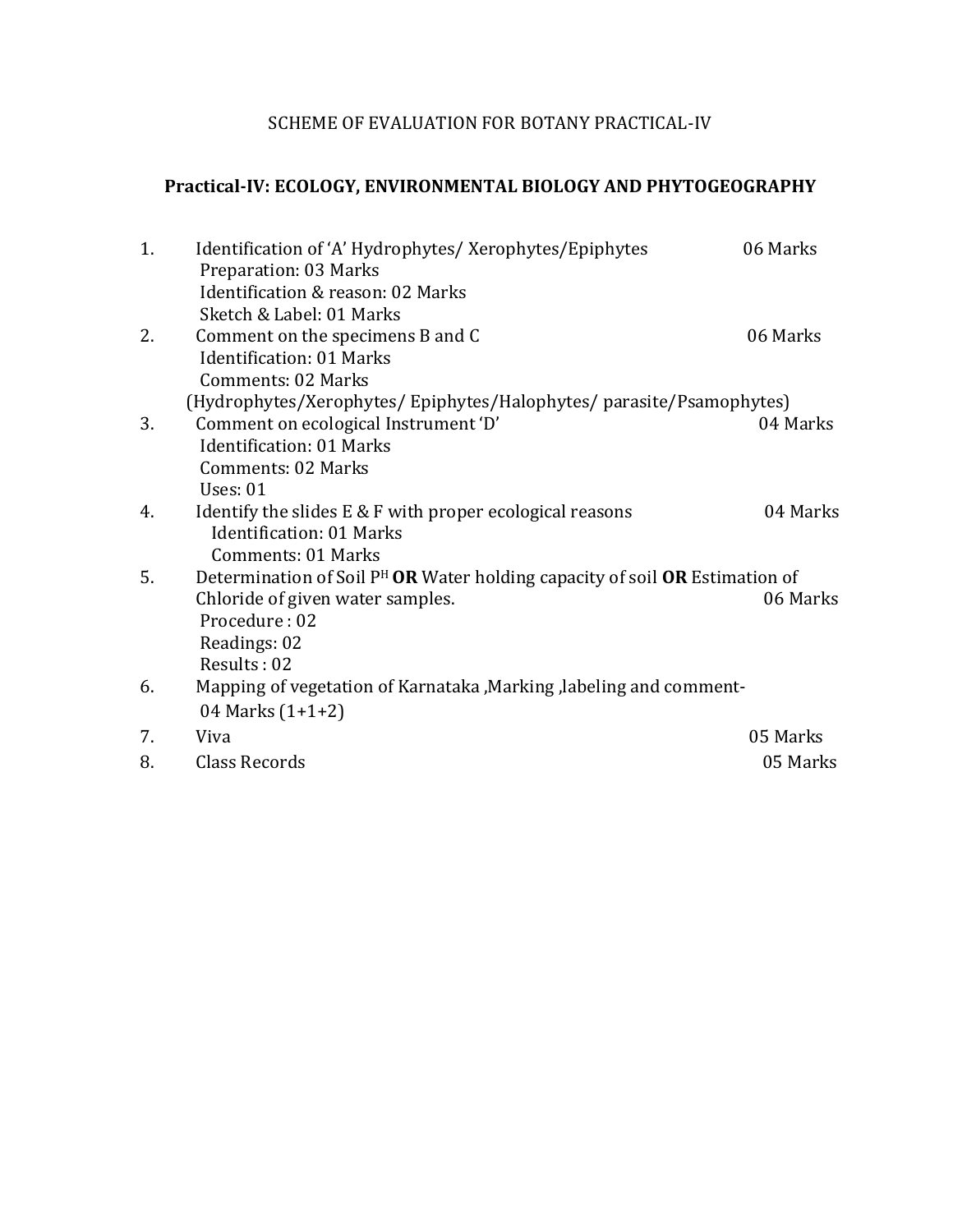## SCHEME OF EVALUATION FOR BOTANY PRACTICAL-IV

# **Practical-IV: ECOLOGY, ENVIRONMENTAL BIOLOGY AND PHYTOGEOGRAPHY**

| 1. | Identification of 'A' Hydrophytes/ Xerophytes/Epiphytes<br>Preparation: 03 Marks        | 06 Marks |
|----|-----------------------------------------------------------------------------------------|----------|
|    | Identification & reason: 02 Marks                                                       |          |
|    | Sketch & Label: 01 Marks                                                                |          |
| 2. | Comment on the specimens B and C                                                        | 06 Marks |
|    | <b>Identification: 01 Marks</b>                                                         |          |
|    | <b>Comments: 02 Marks</b>                                                               |          |
|    | (Hydrophytes/Xerophytes/Epiphytes/Halophytes/parasite/Psamophytes)                      |          |
| 3. | Comment on ecological Instrument 'D'                                                    | 04 Marks |
|    | <b>Identification: 01 Marks</b>                                                         |          |
|    | <b>Comments: 02 Marks</b>                                                               |          |
|    | <b>Uses: 01</b>                                                                         |          |
| 4. | Identify the slides $E \& F$ with proper ecological reasons                             | 04 Marks |
|    | <b>Identification: 01 Marks</b>                                                         |          |
|    | <b>Comments: 01 Marks</b>                                                               |          |
| 5. | Determination of Soil P <sup>H</sup> OR Water holding capacity of soil OR Estimation of |          |
|    | Chloride of given water samples.                                                        | 06 Marks |
|    | Procedure: 02                                                                           |          |
|    | Readings: 02                                                                            |          |
|    | Results: 02                                                                             |          |
| 6. | Mapping of vegetation of Karnataka , Marking , labeling and comment-                    |          |
|    | 04 Marks $(1+1+2)$                                                                      |          |
| 7. | Viva                                                                                    | 05 Marks |
| 8. | Class Records                                                                           | 05 Marks |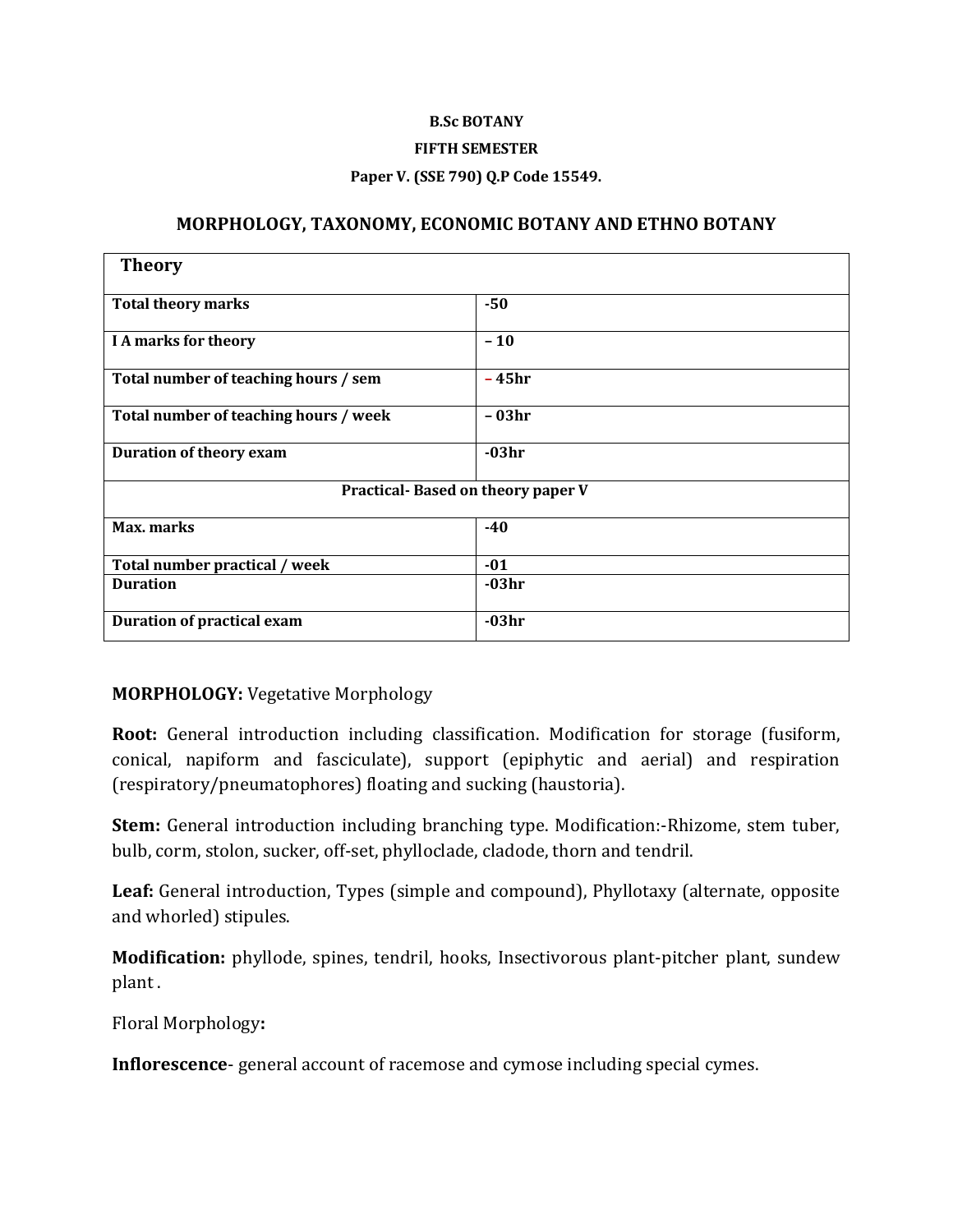#### **B.Sc BOTANY**

#### **FIFTH SEMESTER**

#### **Paper V. (SSE 790) Q.P Code 15549.**

#### **MORPHOLOGY, TAXONOMY, ECONOMIC BOTANY AND ETHNO BOTANY**

| <b>Theory</b>                         |         |  |
|---------------------------------------|---------|--|
| <b>Total theory marks</b>             | $-50$   |  |
| I A marks for theory                  | $-10$   |  |
| Total number of teaching hours / sem  | $-45hr$ |  |
| Total number of teaching hours / week | - 03hr  |  |
| <b>Duration of theory exam</b>        | $-03hr$ |  |
| Practical-Based on theory paper V     |         |  |
| Max. marks                            | $-40$   |  |
| Total number practical / week         | $-01$   |  |
| <b>Duration</b>                       | $-03hr$ |  |
| <b>Duration of practical exam</b>     | $-03hr$ |  |

#### **MORPHOLOGY:** Vegetative Morphology

**Root:** General introduction including classification. Modification for storage (fusiform, conical, napiform and fasciculate), support (epiphytic and aerial) and respiration (respiratory/pneumatophores) floating and sucking (haustoria).

**Stem:** General introduction including branching type. Modification:-Rhizome, stem tuber, bulb, corm, stolon, sucker, off-set, phylloclade, cladode, thorn and tendril.

**Leaf:** General introduction, Types (simple and compound), Phyllotaxy (alternate, opposite and whorled) stipules.

**Modification:** phyllode, spines, tendril, hooks, Insectivorous plant-pitcher plant, sundew plant .

Floral Morphology**:**

**Inflorescence**- general account of racemose and cymose including special cymes.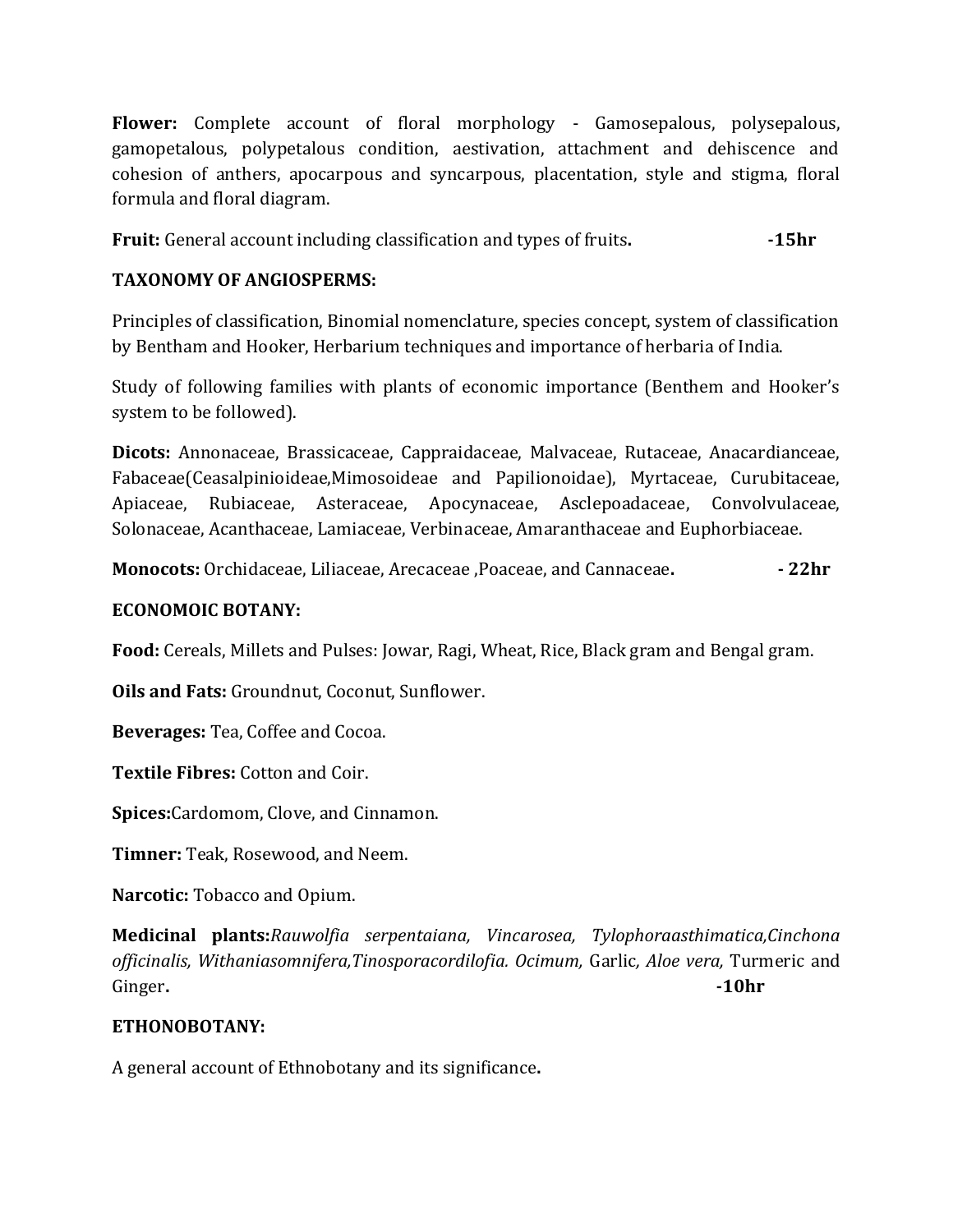**Flower:** Complete account of floral morphology - Gamosepalous, polysepalous, gamopetalous, polypetalous condition, aestivation, attachment and dehiscence and cohesion of anthers, apocarpous and syncarpous, placentation, style and stigma, floral formula and floral diagram.

**Fruit:** General account including classification and types of fruits.  $\qquad \qquad$ -15hr

## **TAXONOMY OF ANGIOSPERMS:**

Principles of classification, Binomial nomenclature, species concept, system of classification by Bentham and Hooker, Herbarium techniques and importance of herbaria of India.

Study of following families with plants of economic importance (Benthem and Hooker's system to be followed).

**Dicots:** Annonaceae, Brassicaceae, Cappraidaceae, Malvaceae, Rutaceae, Anacardianceae, Fabaceae(Ceasalpinioideae,Mimosoideae and Papilionoidae), Myrtaceae, Curubitaceae, Apiaceae, Rubiaceae, Asteraceae, Apocynaceae, Asclepoadaceae, Convolvulaceae, Solonaceae, Acanthaceae, Lamiaceae, Verbinaceae, Amaranthaceae and Euphorbiaceae.

**Monocots:** Orchidaceae, Liliaceae, Arecaceae ,Poaceae, and Cannaceae**. - 22hr**

## **ECONOMOIC BOTANY:**

**Food:** Cereals, Millets and Pulses: Jowar, Ragi, Wheat, Rice, Black gram and Bengal gram.

**Oils and Fats:** Groundnut, Coconut, Sunflower.

**Beverages:** Tea, Coffee and Cocoa.

**Textile Fibres:** Cotton and Coir.

**Spices:**Cardomom, Clove, and Cinnamon.

**Timner:** Teak, Rosewood, and Neem.

**Narcotic:** Tobacco and Opium.

**Medicinal plants:***Rauwolfia serpentaiana, Vincarosea, Tylophoraasthimatica,Cinchona officinalis, Withaniasomnifera,Tinosporacordilofia. Ocimum,* Garlic*, Aloe vera,* Turmeric and Ginger**. -10hr**

## **ETHONOBOTANY:**

A general account of Ethnobotany and its significance**.**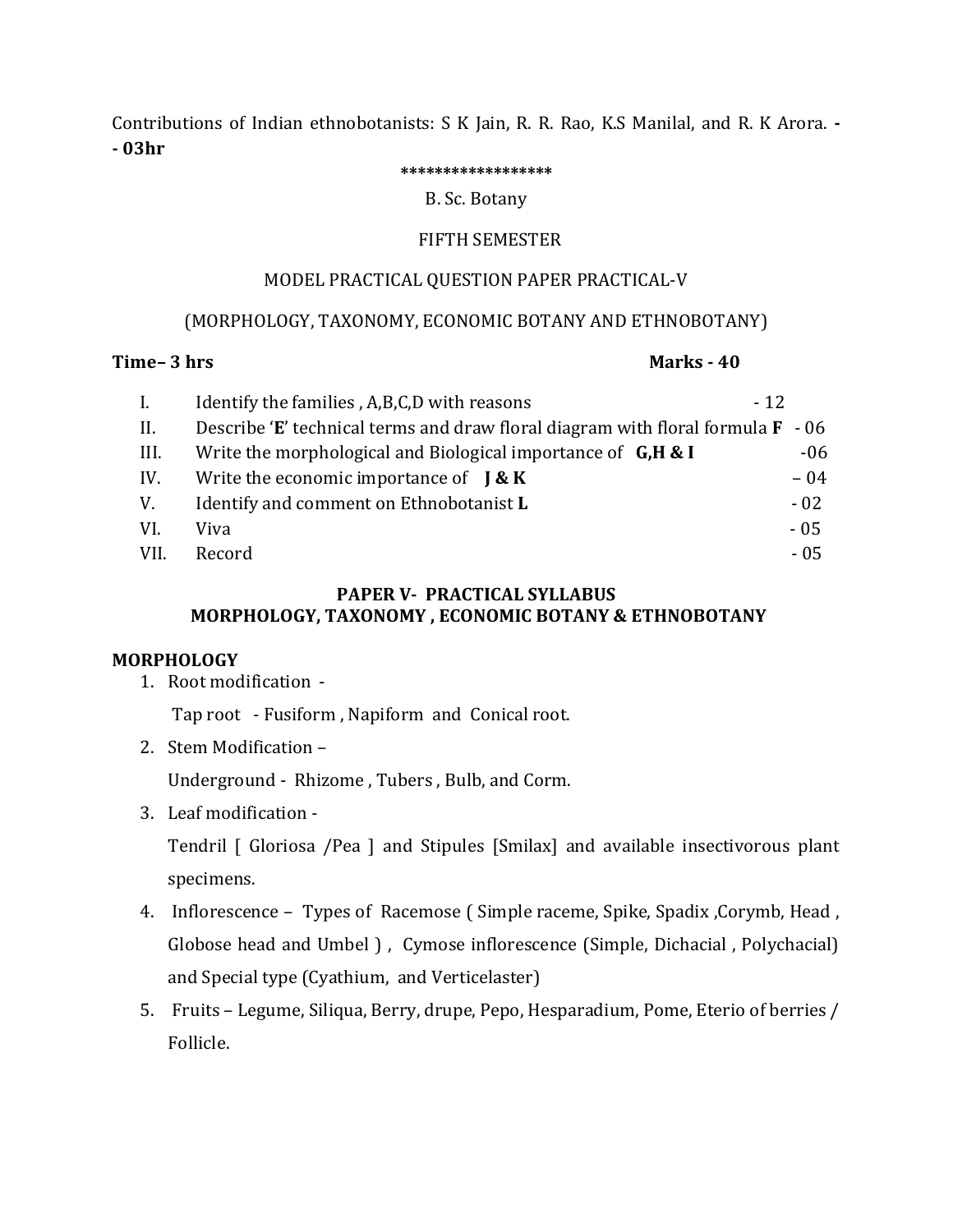Contributions of Indian ethnobotanists: S K Jain, R. R. Rao, K.S Manilal, and R. K Arora. **- - 03hr** 

#### **\*\*\*\*\*\*\*\*\*\*\*\*\*\*\*\*\*\***

#### B. Sc. Botany

## FIFTH SEMESTER

#### MODEL PRACTICAL QUESTION PAPER PRACTICAL-V

## (MORPHOLOGY, TAXONOMY, ECONOMIC BOTANY AND ETHNOBOTANY)

## **Time– 3 hrs Marks - 40**

| $\mathbf{I}$ . | Identify the families, A,B,C,D with reasons                                            | $-12$ |
|----------------|----------------------------------------------------------------------------------------|-------|
| II.            | Describe 'E' technical terms and draw floral diagram with floral formula $\bf{F}$ - 06 |       |
| III.           | Write the morphological and Biological importance of $G, H & I$                        | $-06$ |
| IV.            | Write the economic importance of $\mathbf{K} \mathbf{K}$                               | $-04$ |
| V.             | Identify and comment on Ethnobotanist L                                                | $-02$ |
| VI.            | Viva                                                                                   | $-05$ |
| VII.           | Record                                                                                 | $-05$ |

## **PAPER V- PRACTICAL SYLLABUS MORPHOLOGY, TAXONOMY , ECONOMIC BOTANY & ETHNOBOTANY**

## **MORPHOLOGY**

1. Root modification -

Tap root - Fusiform , Napiform and Conical root.

2. Stem Modification –

Underground - Rhizome , Tubers , Bulb, and Corm.

3. Leaf modification -

Tendril [ Gloriosa /Pea ] and Stipules [Smilax] and available insectivorous plant specimens.

- 4. Inflorescence Types of Racemose ( Simple raceme, Spike, Spadix ,Corymb, Head , Globose head and Umbel ), Cymose inflorescence (Simple, Dichacial, Polychacial) and Special type (Cyathium, and Verticelaster)
- 5. Fruits Legume, Siliqua, Berry, drupe, Pepo, Hesparadium, Pome, Eterio of berries / Follicle.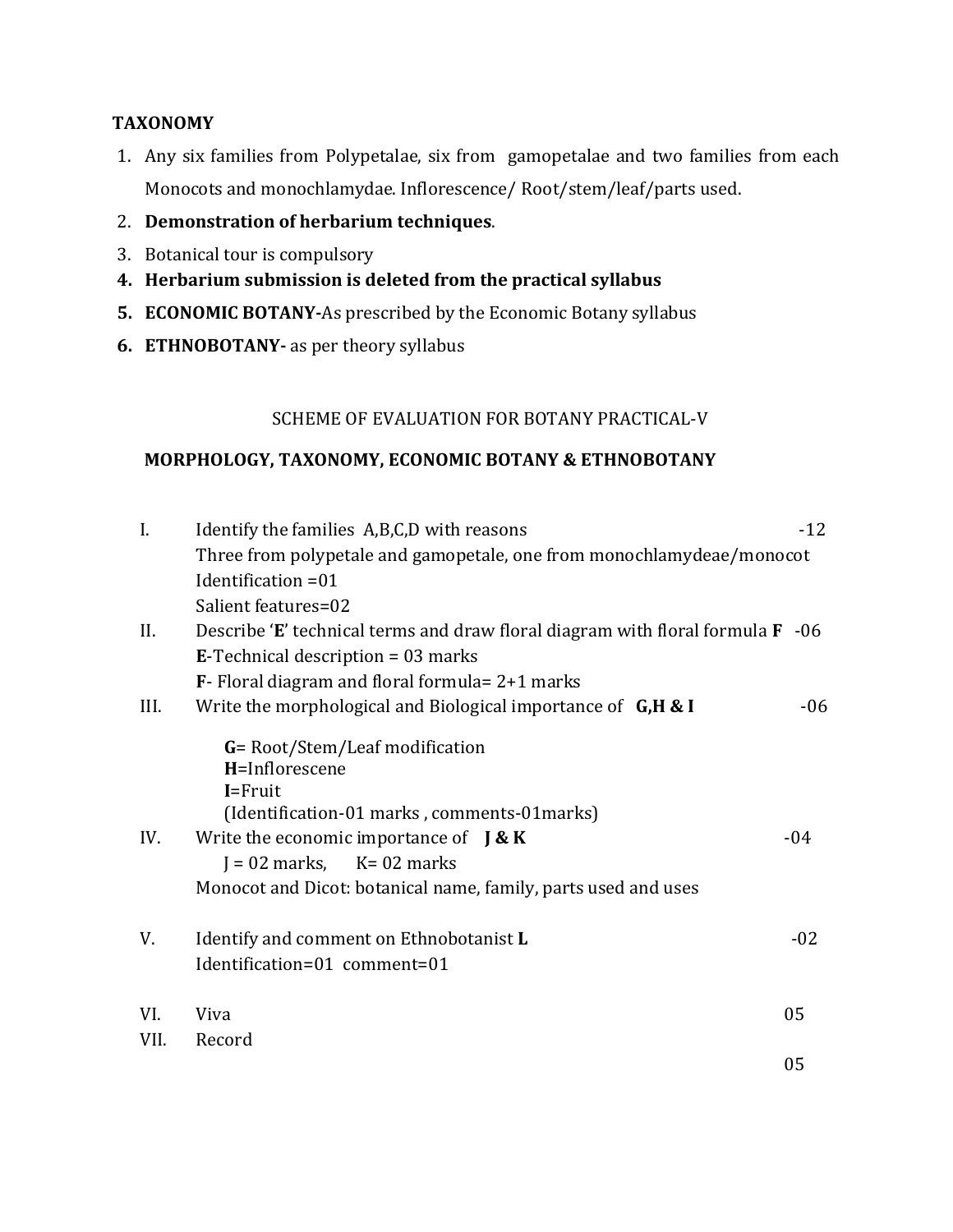## **TAXONOMY**

- 1. Any six families from Polypetalae, six from gamopetalae and two families from each Monocots and monochlamydae. Inflorescence/ Root/stem/leaf/parts used.
- 2. **Demonstration of herbarium techniques**.
- 3. Botanical tour is compulsory
- **4. Herbarium submission is deleted from the practical syllabus**
- **5. ECONOMIC BOTANY-**As prescribed by the Economic Botany syllabus
- **6. ETHNOBOTANY-** as per theory syllabus

## SCHEME OF EVALUATION FOR BOTANY PRACTICAL-V

## **MORPHOLOGY, TAXONOMY, ECONOMIC BOTANY & ETHNOBOTANY**

| I.   | Identify the families A,B,C,D with reasons                                                                      | $-12$ |
|------|-----------------------------------------------------------------------------------------------------------------|-------|
|      | Three from polypetale and gamopetale, one from monochlamydeae/monocot                                           |       |
|      | Identification = 01                                                                                             |       |
|      | Salient features=02                                                                                             |       |
| II.  | Describe 'E' technical terms and draw floral diagram with floral formula $\bf{F}$ -06                           |       |
|      | <b>E-Technical description = 03 marks</b>                                                                       |       |
|      | $\mathbf{F}$ - Floral diagram and floral formula= 2+1 marks                                                     |       |
| III. | Write the morphological and Biological importance of $G, H & I$                                                 | $-06$ |
|      | G= Root/Stem/Leaf modification<br>H=Inflorescene<br>$I = Fruit$<br>(Identification-01 marks, comments-01 marks) |       |
| IV.  | Write the economic importance of $\int \mathbf{R} \cdot \mathbf{K}$                                             | -04   |
|      | $J = 02$ marks, $K = 02$ marks                                                                                  |       |
|      | Monocot and Dicot: botanical name, family, parts used and uses                                                  |       |
| V.   | Identify and comment on Ethnobotanist L<br>Identification=01 comment=01                                         | $-02$ |
| VI.  | Viva                                                                                                            | 05    |
| VII. | Record                                                                                                          |       |
|      |                                                                                                                 | 05    |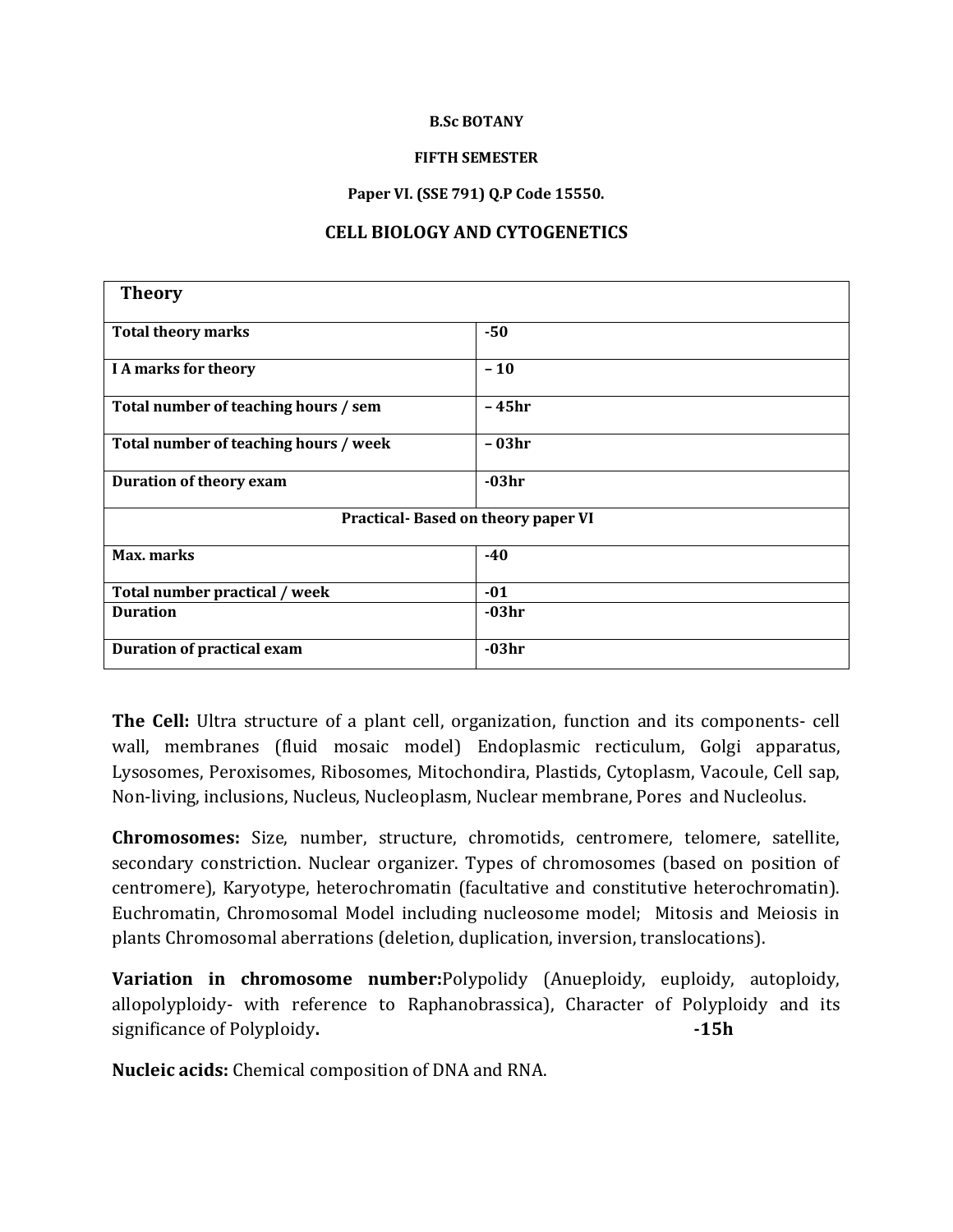#### **B.Sc BOTANY**

#### **FIFTH SEMESTER**

#### **Paper VI. (SSE 791) Q.P Code 15550.**

#### **CELL BIOLOGY AND CYTOGENETICS**

| <b>Theory</b>                             |         |  |
|-------------------------------------------|---------|--|
| <b>Total theory marks</b>                 | $-50$   |  |
| <b>I A marks for theory</b>               | $-10$   |  |
| Total number of teaching hours / sem      | -45hr   |  |
| Total number of teaching hours / week     | - 03hr  |  |
| <b>Duration of theory exam</b>            | $-03hr$ |  |
| <b>Practical-Based on theory paper VI</b> |         |  |
| Max. marks                                | $-40$   |  |
| Total number practical / week             | $-01$   |  |
| <b>Duration</b>                           | $-03hr$ |  |
| <b>Duration of practical exam</b>         | $-03hr$ |  |

**The Cell:** Ultra structure of a plant cell, organization, function and its components- cell wall, membranes (fluid mosaic model) Endoplasmic recticulum, Golgi apparatus, Lysosomes, Peroxisomes, Ribosomes, Mitochondira, Plastids, Cytoplasm, Vacoule, Cell sap, Non-living, inclusions, Nucleus, Nucleoplasm, Nuclear membrane, Pores and Nucleolus.

**Chromosomes:** Size, number, structure, chromotids, centromere, telomere, satellite, secondary constriction. Nuclear organizer. Types of chromosomes (based on position of centromere), Karyotype, heterochromatin (facultative and constitutive heterochromatin). Euchromatin, Chromosomal Model including nucleosome model; Mitosis and Meiosis in plants Chromosomal aberrations (deletion, duplication, inversion, translocations).

**Variation in chromosome number:**Polypolidy (Anueploidy, euploidy, autoploidy, allopolyploidy- with reference to Raphanobrassica), Character of Polyploidy and its significance of Polyploidy. **-15h** 

**Nucleic acids:** Chemical composition of DNA and RNA.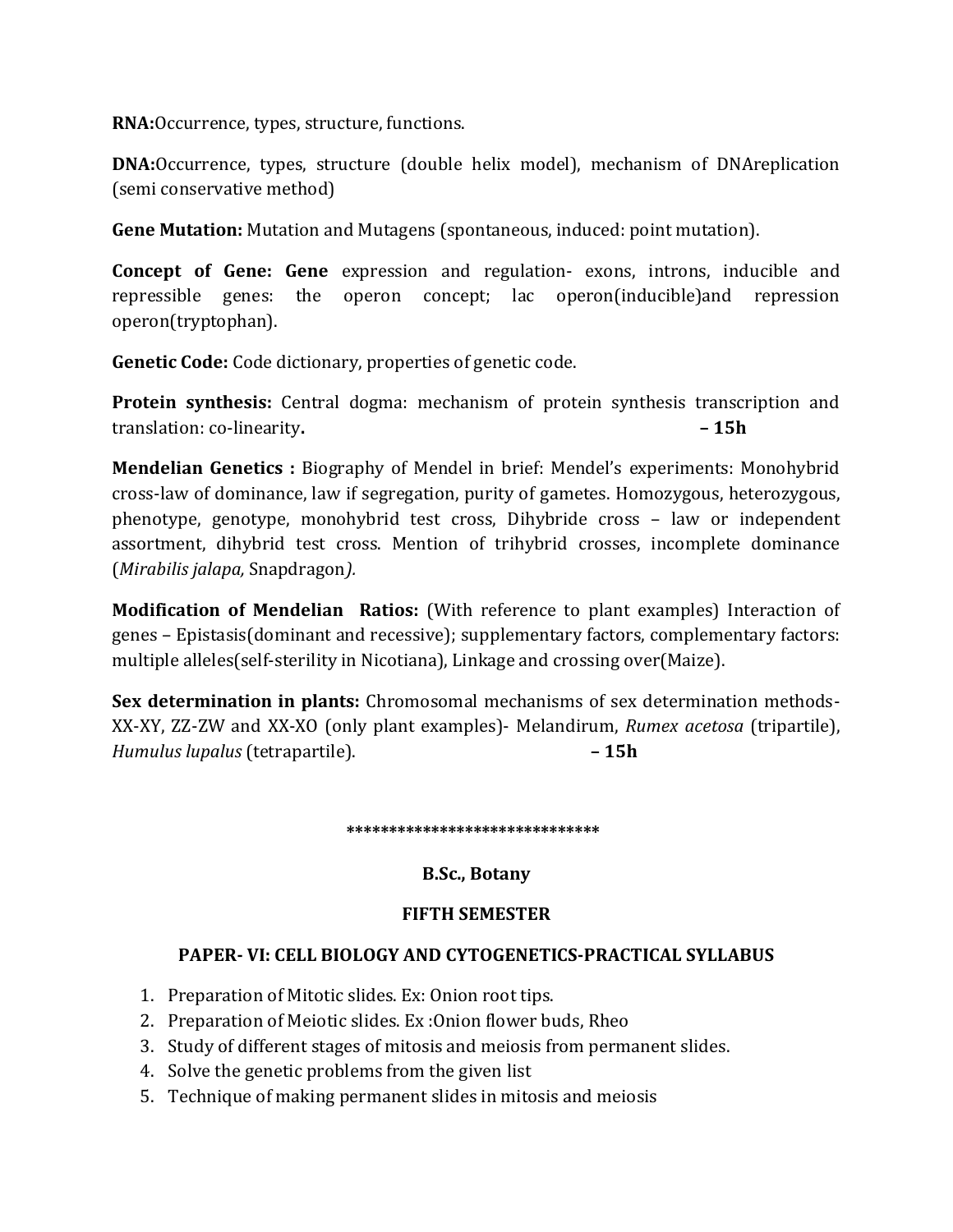**RNA:**Occurrence, types, structure, functions.

**DNA:**Occurrence, types, structure (double helix model), mechanism of DNAreplication (semi conservative method)

**Gene Mutation:** Mutation and Mutagens (spontaneous, induced: point mutation).

**Concept of Gene: Gene** expression and regulation- exons, introns, inducible and repressible genes: the operon concept; lac operon(inducible)and repression operon(tryptophan).

**Genetic Code:** Code dictionary, properties of genetic code.

**Protein synthesis:** Central dogma: mechanism of protein synthesis transcription and translation: co-linearity**. – 15h**

**Mendelian Genetics :** Biography of Mendel in brief: Mendel's experiments: Monohybrid cross-law of dominance, law if segregation, purity of gametes. Homozygous, heterozygous, phenotype, genotype, monohybrid test cross, Dihybride cross – law or independent assortment, dihybrid test cross. Mention of trihybrid crosses, incomplete dominance (*Mirabilis jalapa,* Snapdragon*).*

**Modification of Mendelian Ratios:** (With reference to plant examples) Interaction of genes – Epistasis(dominant and recessive); supplementary factors, complementary factors: multiple alleles(self-sterility in Nicotiana), Linkage and crossing over(Maize).

**Sex determination in plants:** Chromosomal mechanisms of sex determination methods-XX-XY, ZZ-ZW and XX-XO (only plant examples)- Melandirum, *Rumex acetosa* (tripartile), *Humulus lupalus* (tetrapartile). **– 15h**

 **\*\*\*\*\*\*\*\*\*\*\*\*\*\*\*\*\*\*\*\*\*\*\*\*\*\*\*\*\*\***

## **B.Sc., Botany**

## **FIFTH SEMESTER**

## **PAPER- VI: CELL BIOLOGY AND CYTOGENETICS-PRACTICAL SYLLABUS**

- 1. Preparation of Mitotic slides. Ex: Onion root tips.
- 2. Preparation of Meiotic slides. Ex :Onion flower buds, Rheo
- 3. Study of different stages of mitosis and meiosis from permanent slides.
- 4. Solve the genetic problems from the given list
- 5. Technique of making permanent slides in mitosis and meiosis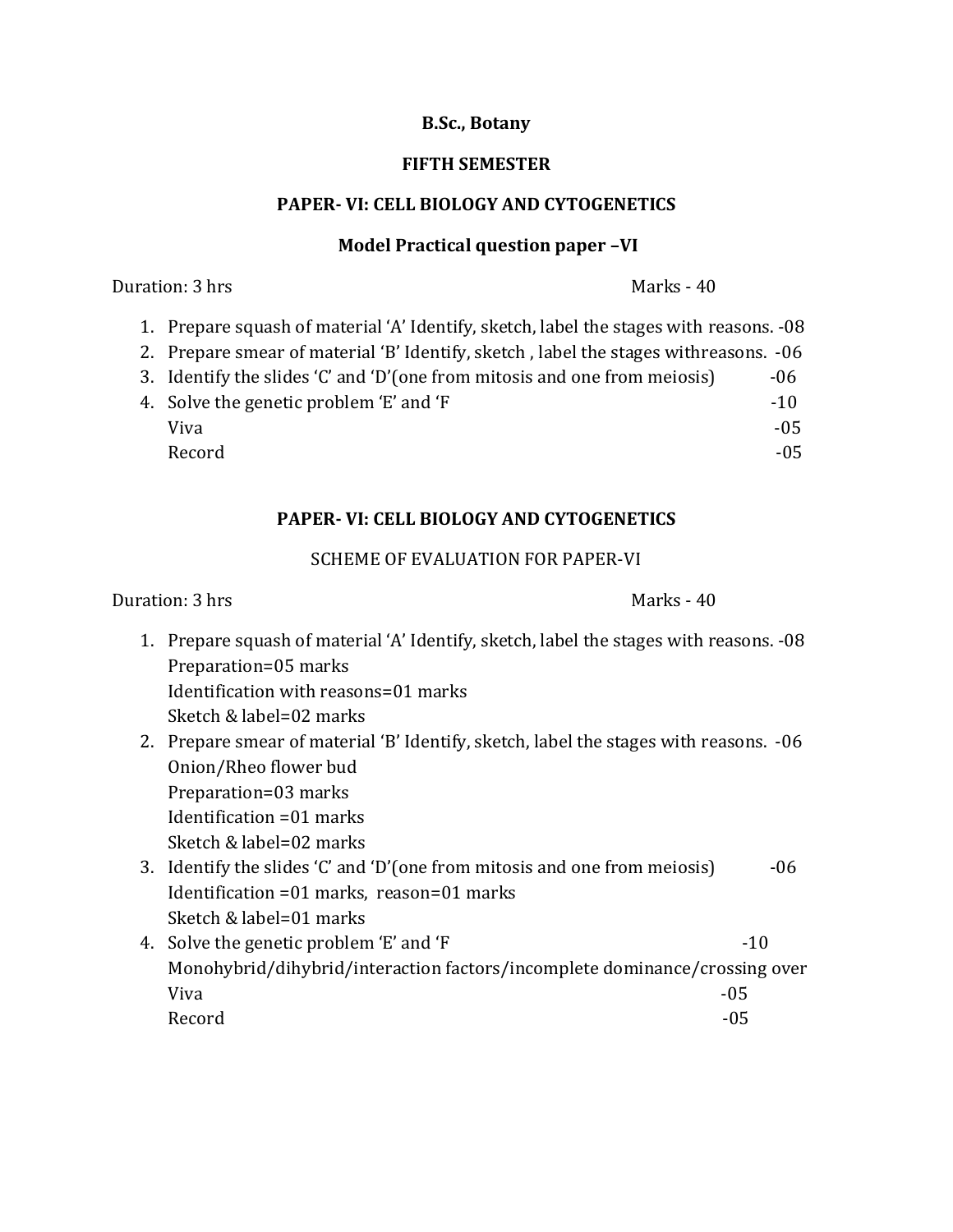## **B.Sc., Botany**

## **FIFTH SEMESTER**

## **PAPER- VI: CELL BIOLOGY AND CYTOGENETICS**

#### **Model Practical question paper –VI**

**Duration: 3 hrs** Marks - 40

- 1. Prepare squash of material 'A' Identify, sketch, label the stages with reasons. -08
- 2. Prepare smear of material 'B' Identify, sketch , label the stages withreasons. -06
- 3. Identify the slides 'C' and 'D'(one from mitosis and one from meiosis)  $-06$
- 4. Solve the genetic problem 'E' and 'F  $-10$ Viva $\sim$  -05  $\sim$ Record and the contract of the contract of the contract of the contract of the contract of the contract of the contract of the contract of the contract of the contract of the contract of the contract of the contract of the

## **PAPER- VI: CELL BIOLOGY AND CYTOGENETICS**

## SCHEME OF EVALUATION FOR PAPER-VI

Duration: 3 hrs Marks - 40

- 1. Prepare squash of material 'A' Identify, sketch, label the stages with reasons. -08 Preparation=05 marks Identification with reasons=01 marks Sketch & label=02 marks
- 2. Prepare smear of material 'B' Identify, sketch, label the stages with reasons. -06 Onion/Rheo flower bud Preparation=03 marks Identification =01 marks Sketch & label=02 marks
- 3. Identify the slides 'C' and 'D'(one from mitosis and one from meiosis)  $-06$ Identification =01 marks, reason=01 marks Sketch & label=01 marks
- 4. Solve the genetic problem 'E' and 'F  $-10$ Monohybrid/dihybrid/interaction factors/incomplete dominance/crossing over Viva $\sim$  -05  $\sim$ Record and the contract of the contract of the contract of the contract of the contract of the contract of the contract of the contract of the contract of the contract of the contract of the contract of the contract of the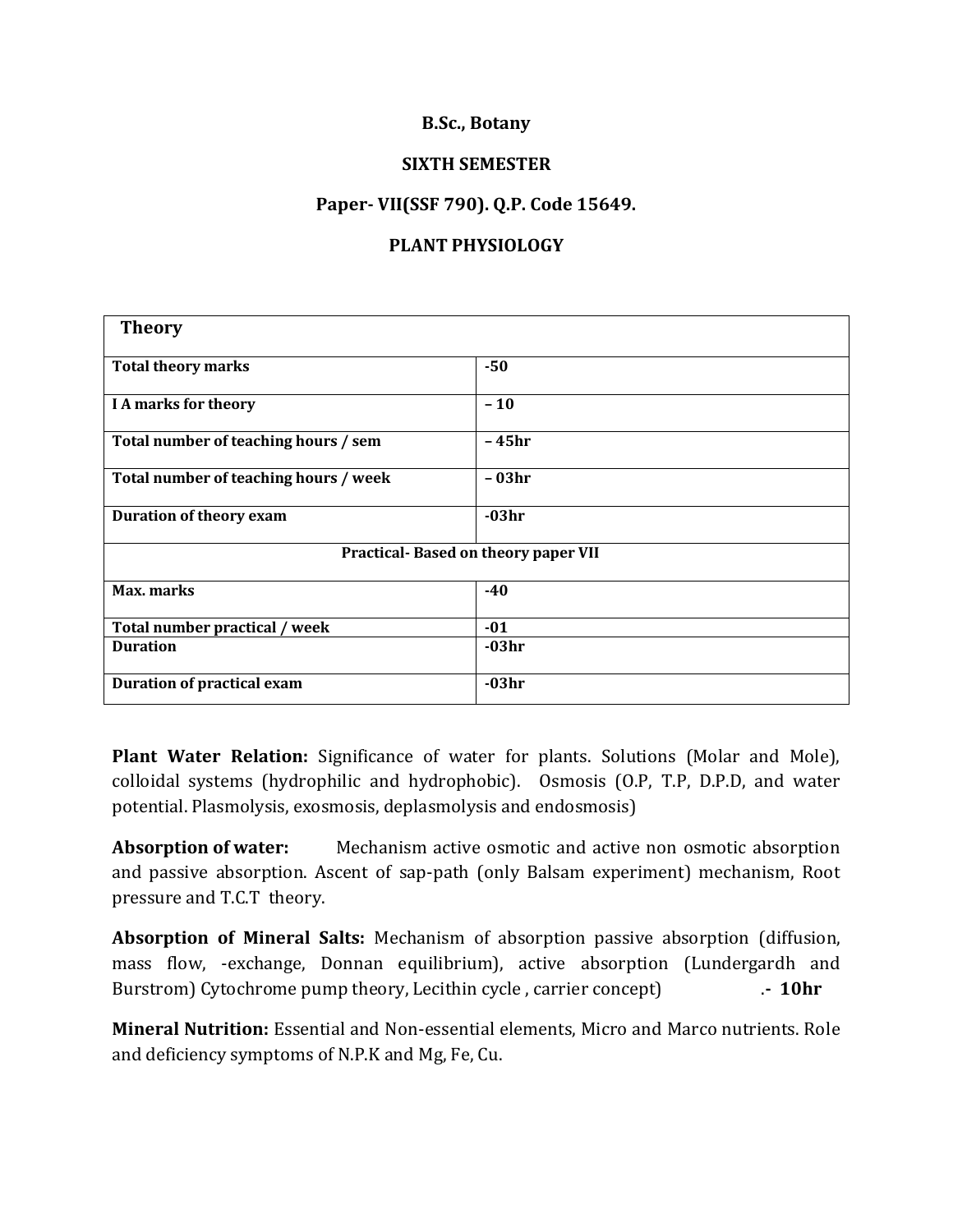## **B.Sc., Botany**

#### **SIXTH SEMESTER**

## **Paper- VII(SSF 790). Q.P. Code 15649.**

## **PLANT PHYSIOLOGY**

| <b>Theory</b>                         |         |
|---------------------------------------|---------|
|                                       |         |
| <b>Total theory marks</b>             | $-50$   |
|                                       |         |
| I A marks for theory                  | $-10$   |
|                                       |         |
| Total number of teaching hours / sem  | – 45hr  |
|                                       |         |
| Total number of teaching hours / week | - 03hr  |
|                                       |         |
| <b>Duration of theory exam</b>        | $-03hr$ |
|                                       |         |
| Practical-Based on theory paper VII   |         |
|                                       |         |
| Max. marks                            | $-40$   |
|                                       |         |
| Total number practical / week         | $-01$   |
| <b>Duration</b>                       | $-03hr$ |
|                                       |         |
| <b>Duration of practical exam</b>     | $-03hr$ |
|                                       |         |

**Plant Water Relation:** Significance of water for plants. Solutions (Molar and Mole), colloidal systems (hydrophilic and hydrophobic). Osmosis (O.P, T.P, D.P.D, and water potential. Plasmolysis, exosmosis, deplasmolysis and endosmosis)

**Absorption of water:** Mechanism active osmotic and active non osmotic absorption and passive absorption. Ascent of sap-path (only Balsam experiment) mechanism, Root pressure and T.C.T theory.

**Absorption of Mineral Salts:** Mechanism of absorption passive absorption (diffusion, mass flow, -exchange, Donnan equilibrium), active absorption (Lundergardh and Burstrom) Cytochrome pump theory, Lecithin cycle , carrier concept) .**- 10hr**

**Mineral Nutrition:** Essential and Non-essential elements, Micro and Marco nutrients. Role and deficiency symptoms of N.P.K and Mg, Fe, Cu.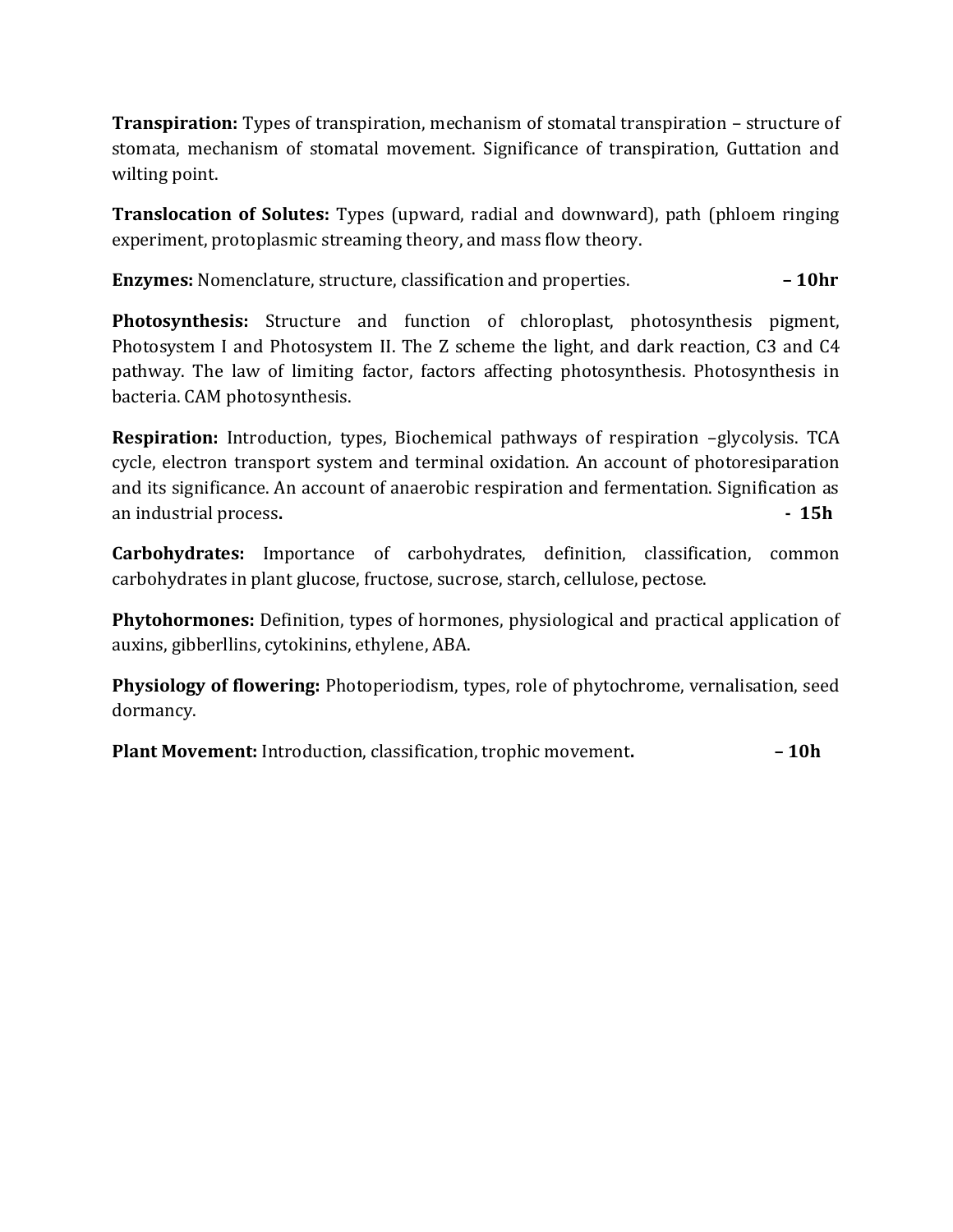**Transpiration:** Types of transpiration, mechanism of stomatal transpiration – structure of stomata, mechanism of stomatal movement. Significance of transpiration, Guttation and wilting point.

**Translocation of Solutes:** Types (upward, radial and downward), path (phloem ringing experiment, protoplasmic streaming theory, and mass flow theory.

**Enzymes:** Nomenclature, structure, classification and properties. **– 10hr**

**Photosynthesis:** Structure and function of chloroplast, photosynthesis pigment, Photosystem I and Photosystem II. The Z scheme the light, and dark reaction, C3 and C4 pathway. The law of limiting factor, factors affecting photosynthesis. Photosynthesis in bacteria. CAM photosynthesis.

**Respiration:** Introduction, types, Biochemical pathways of respiration –glycolysis. TCA cycle, electron transport system and terminal oxidation. An account of photoresiparation and its significance. An account of anaerobic respiration and fermentation. Signification as an industrial process. **a 15h** 

**Carbohydrates:** Importance of carbohydrates, definition, classification, common carbohydrates in plant glucose, fructose, sucrose, starch, cellulose, pectose.

**Phytohormones:** Definition, types of hormones, physiological and practical application of auxins, gibberllins, cytokinins, ethylene, ABA.

**Physiology of flowering:** Photoperiodism, types, role of phytochrome, vernalisation, seed dormancy.

**Plant Movement:** Introduction, classification, trophic movement**. – 10h**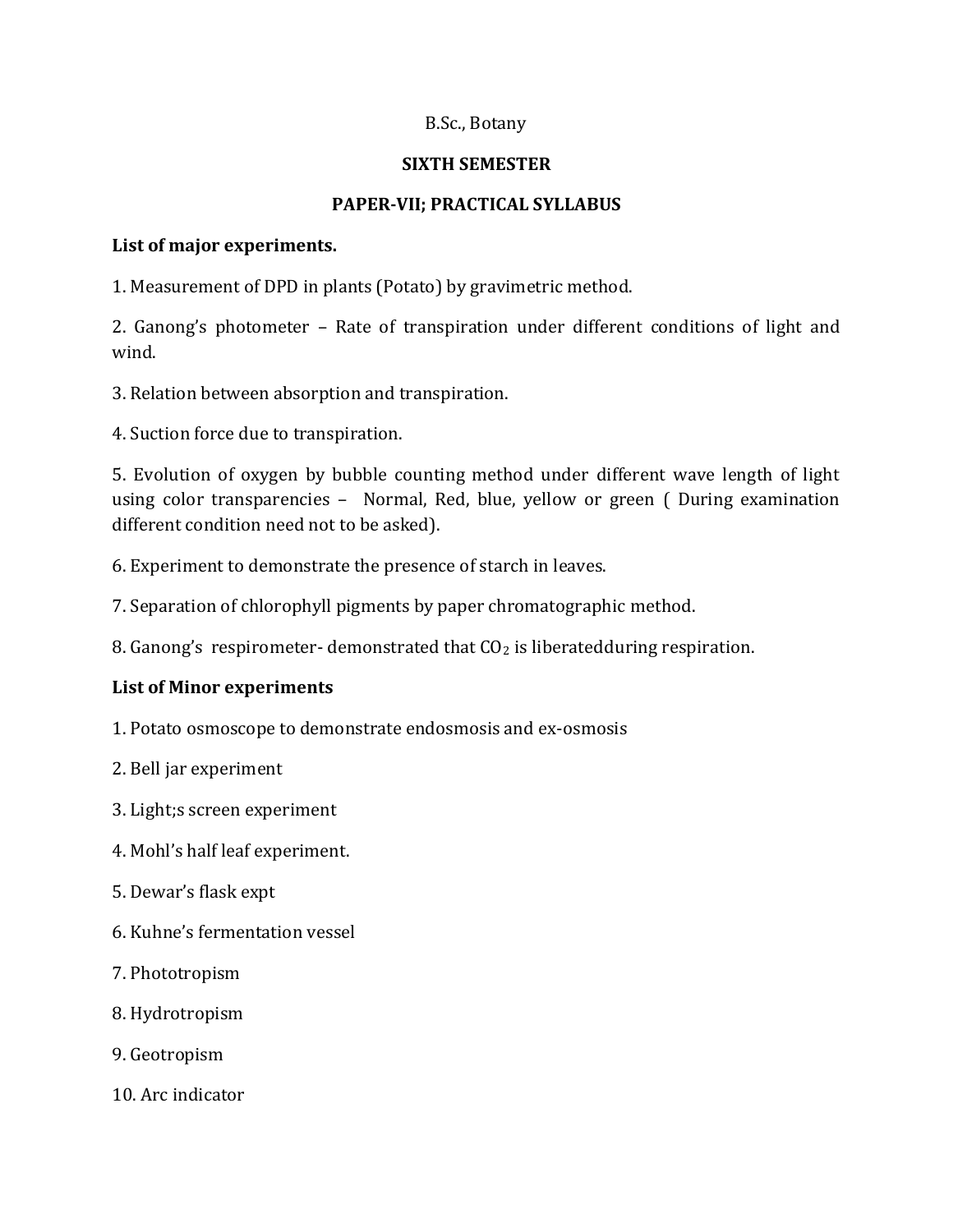## B.Sc., Botany

## **SIXTH SEMESTER**

## **PAPER-VII; PRACTICAL SYLLABUS**

#### **List of major experiments.**

1. Measurement of DPD in plants (Potato) by gravimetric method.

2. Ganong's photometer – Rate of transpiration under different conditions of light and wind.

- 3. Relation between absorption and transpiration.
- 4. Suction force due to transpiration.

5. Evolution of oxygen by bubble counting method under different wave length of light using color transparencies – Normal, Red, blue, yellow or green ( During examination different condition need not to be asked).

- 6. Experiment to demonstrate the presence of starch in leaves.
- 7. Separation of chlorophyll pigments by paper chromatographic method.

8. Ganong's respirometer-demonstrated that  $CO<sub>2</sub>$  is liberatedduring respiration.

## **List of Minor experiments**

- 1. Potato osmoscope to demonstrate endosmosis and ex-osmosis
- 2. Bell jar experiment
- 3. Light;s screen experiment
- 4. Mohl's half leaf experiment.
- 5. Dewar's flask expt
- 6. Kuhne's fermentation vessel
- 7. Phototropism
- 8. Hydrotropism
- 9. Geotropism
- 10. Arc indicator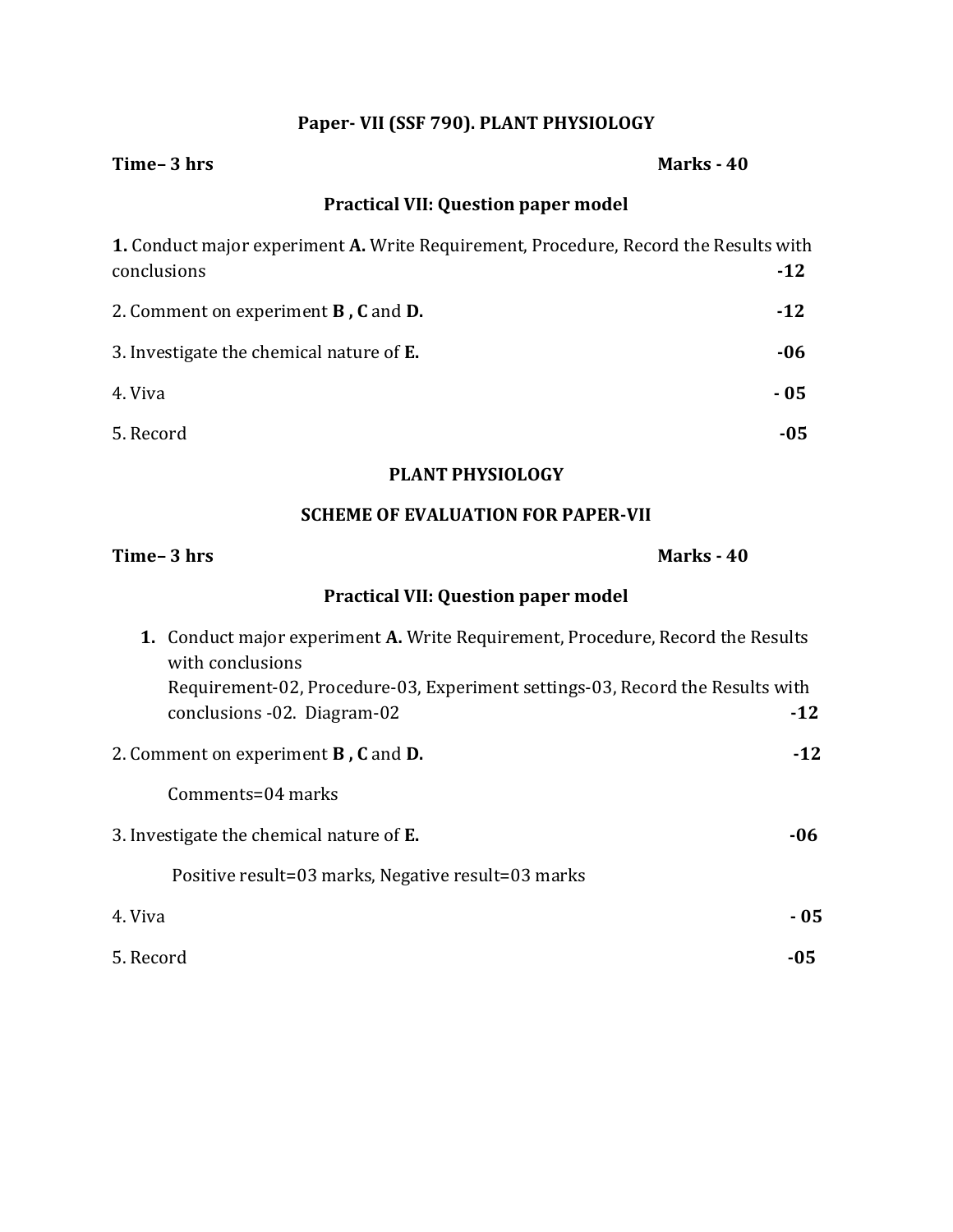# **Paper- VII (SSF 790). PLANT PHYSIOLOGY**

| Time-3 hrs                                                                                                                                                                                                          | Marks - 40 |
|---------------------------------------------------------------------------------------------------------------------------------------------------------------------------------------------------------------------|------------|
| <b>Practical VII: Question paper model</b>                                                                                                                                                                          |            |
| 1. Conduct major experiment A. Write Requirement, Procedure, Record the Results with<br>conclusions                                                                                                                 | $-12$      |
| 2. Comment on experiment <b>B</b> , <b>C</b> and <b>D</b> .                                                                                                                                                         | $-12$      |
| 3. Investigate the chemical nature of E.                                                                                                                                                                            | $-06$      |
| 4. Viva                                                                                                                                                                                                             | $-05$      |
| 5. Record                                                                                                                                                                                                           | $-05$      |
| <b>PLANT PHYSIOLOGY</b>                                                                                                                                                                                             |            |
| <b>SCHEME OF EVALUATION FOR PAPER-VII</b>                                                                                                                                                                           |            |
| Time-3 hrs                                                                                                                                                                                                          | Marks - 40 |
| <b>Practical VII: Question paper model</b>                                                                                                                                                                          |            |
| 1. Conduct major experiment A. Write Requirement, Procedure, Record the Results<br>with conclusions<br>Requirement-02, Procedure-03, Experiment settings-03, Record the Results with<br>conclusions -02. Diagram-02 | $-12$      |
| 2. Comment on experiment <b>B</b> , C and D.                                                                                                                                                                        | $-12$      |
| Comments=04 marks                                                                                                                                                                                                   |            |
| 3. Investigate the chemical nature of E.                                                                                                                                                                            | -06        |
| Positive result=03 marks, Negative result=03 marks                                                                                                                                                                  |            |
| 4. Viva                                                                                                                                                                                                             | $-05$      |

- 5. Record **-05**
-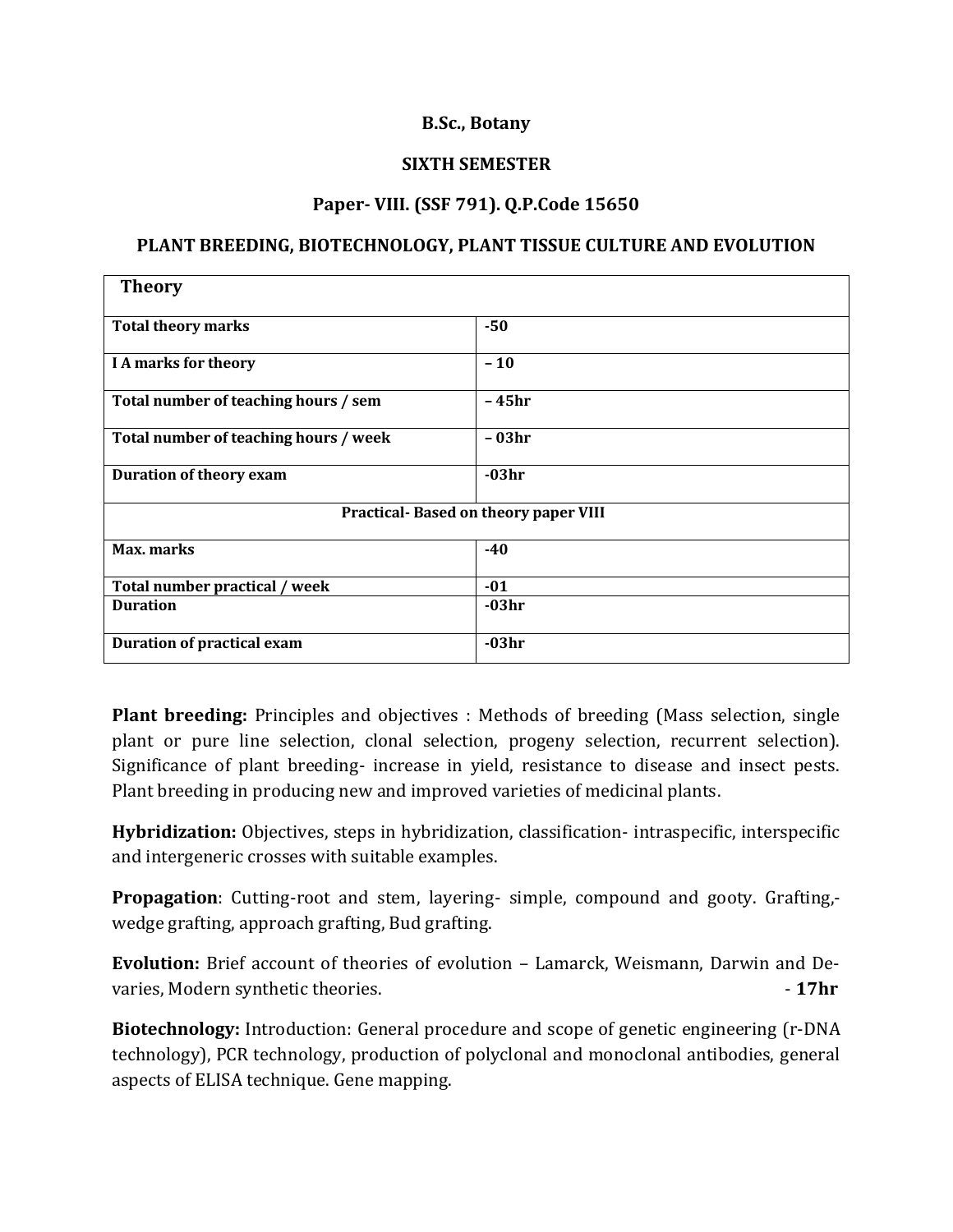## **B.Sc., Botany**

#### **SIXTH SEMESTER**

#### **Paper- VIII. (SSF 791). Q.P.Code 15650**

#### **PLANT BREEDING, BIOTECHNOLOGY, PLANT TISSUE CULTURE AND EVOLUTION**

| <b>Theory</b>                               |         |  |
|---------------------------------------------|---------|--|
| <b>Total theory marks</b>                   | $-50$   |  |
| <b>I A marks for theory</b>                 | $-10$   |  |
| Total number of teaching hours / sem        | $-45hr$ |  |
| Total number of teaching hours / week       | - 03hr  |  |
| <b>Duration of theory exam</b>              | $-03hr$ |  |
| <b>Practical-Based on theory paper VIII</b> |         |  |
| Max. marks                                  | $-40$   |  |
| Total number practical / week               | $-01$   |  |
| <b>Duration</b>                             | $-03hr$ |  |
| <b>Duration of practical exam</b>           | $-03hr$ |  |

**Plant breeding:** Principles and objectives : Methods of breeding (Mass selection, single plant or pure line selection, clonal selection, progeny selection, recurrent selection). Significance of plant breeding- increase in yield, resistance to disease and insect pests. Plant breeding in producing new and improved varieties of medicinal plants.

**Hybridization:** Objectives, steps in hybridization, classification- intraspecific, interspecific and intergeneric crosses with suitable examples.

**Propagation**: Cutting-root and stem, layering- simple, compound and gooty. Grafting, wedge grafting, approach grafting, Bud grafting.

**Evolution:** Brief account of theories of evolution – Lamarck, Weismann, Darwin and Devaries, Modern synthetic theories. **and the synthetic synthetic synthetic synthetic synthetic synthetic synthetic synthetic synthetic synthetic synthetic synthetic synthetic synthetic synthetic synthetic synthetic syntheti** 

**Biotechnology:** Introduction: General procedure and scope of genetic engineering (r-DNA technology), PCR technology, production of polyclonal and monoclonal antibodies, general aspects of ELISA technique. Gene mapping.